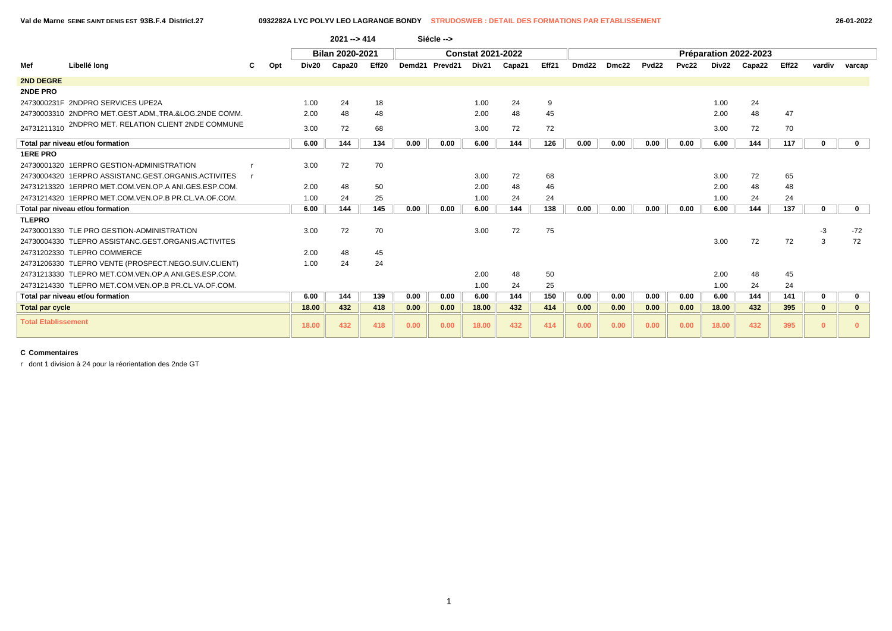|                            |                                                      |     |       | $2021 - 5414$   |                   |      | Siécle -->     |                          |        |       |                   |       |                   |       |       |                       |       |              |             |
|----------------------------|------------------------------------------------------|-----|-------|-----------------|-------------------|------|----------------|--------------------------|--------|-------|-------------------|-------|-------------------|-------|-------|-----------------------|-------|--------------|-------------|
|                            |                                                      |     |       | Bilan 2020-2021 |                   |      |                | <b>Constat 2021-2022</b> |        |       |                   |       |                   |       |       | Préparation 2022-2023 |       |              |             |
| Mef                        | Libellé long                                         | Opt | Div20 | Capa20          | Eff <sub>20</sub> |      | Demd21 Prevd21 | Div21                    | Capa21 | Eff21 | Dmd <sub>22</sub> | Dmc22 | Pvd <sub>22</sub> | Pvc22 | Div22 | Capa22                | Eff22 | vardiv       | varcap      |
| 2ND DEGRE                  |                                                      |     |       |                 |                   |      |                |                          |        |       |                   |       |                   |       |       |                       |       |              |             |
| 2NDE PRO                   |                                                      |     |       |                 |                   |      |                |                          |        |       |                   |       |                   |       |       |                       |       |              |             |
|                            | 2473000231F 2NDPRO SERVICES UPE2A                    |     | 1.00  | 24              | 18                |      |                | 1.00                     | 24     | 9     |                   |       |                   |       | 1.00  | 24                    |       |              |             |
|                            | 24730003310 2NDPRO MET.GEST.ADMTRA.&LOG.2NDE COMM.   |     | 2.00  | 48              | 48                |      |                | 2.00                     | 48     | 45    |                   |       |                   |       | 2.00  | 48                    | 47    |              |             |
| 24731211310                | 2NDPRO MET. RELATION CLIENT 2NDE COMMUNE             |     | 3.00  | 72              | 68                |      |                | 3.00                     | 72     | 72    |                   |       |                   |       | 3.00  | 72                    | 70    |              |             |
|                            | Total par niveau et/ou formation                     |     | 6.00  | 144             | 134               | 0.00 | 0.00           | 6.00                     | 144    | 126   | 0.00              | 0.00  | 0.00              | 0.00  | 6.00  | 144                   | 117   | $\mathbf{0}$ | $\mathbf 0$ |
| <b>1ERE PRO</b>            |                                                      |     |       |                 |                   |      |                |                          |        |       |                   |       |                   |       |       |                       |       |              |             |
|                            | 24730001320 1ERPRO GESTION-ADMINISTRATION            |     | 3.00  | 72              | 70                |      |                |                          |        |       |                   |       |                   |       |       |                       |       |              |             |
|                            | 24730004320 1ERPRO ASSISTANC.GEST.ORGANIS.ACTIVITES  |     |       |                 |                   |      |                | 3.00                     | 72     | 68    |                   |       |                   |       | 3.00  | 72                    | 65    |              |             |
|                            | 24731213320 1ERPRO MET.COM.VEN.OP.A ANI.GES.ESP.COM. |     | 2.00  | 48              | 50                |      |                | 2.00                     | 48     | 46    |                   |       |                   |       | 2.00  | 48                    | 48    |              |             |
|                            | 24731214320 1ERPRO MET.COM.VEN.OP.B PR.CL.VA.OF.COM. |     | 1.00  | 24              | 25                |      |                | 1.00                     | 24     | 24    |                   |       |                   |       | 1.00  | 24                    | 24    |              |             |
|                            | Total par niveau et/ou formation                     |     | 6.00  | 144             | 145               | 0.00 | 0.00           | 6.00                     | 144    | 138   | 0.00              | 0.00  | 0.00              | 0.00  | 6.00  | 144                   | 137   | $\mathbf{0}$ | $\mathbf 0$ |
| <b>TLEPRO</b>              |                                                      |     |       |                 |                   |      |                |                          |        |       |                   |       |                   |       |       |                       |       |              |             |
|                            | 24730001330 TLE PRO GESTION-ADMINISTRATION           |     | 3.00  | 72              | 70                |      |                | 3.00                     | 72     | 75    |                   |       |                   |       |       |                       |       | -3           | $-72$       |
|                            | 24730004330 TLEPRO ASSISTANC.GEST.ORGANIS.ACTIVITES  |     |       |                 |                   |      |                |                          |        |       |                   |       |                   |       | 3.00  | 72                    | 72    | 3            | 72          |
|                            | 24731202330 TLEPRO COMMERCE                          |     | 2.00  | 48              | 45                |      |                |                          |        |       |                   |       |                   |       |       |                       |       |              |             |
|                            | 24731206330 TLEPRO VENTE (PROSPECT.NEGO.SUIV.CLIENT) |     | 1.00  | 24              | 24                |      |                |                          |        |       |                   |       |                   |       |       |                       |       |              |             |
|                            | 24731213330 TLEPRO MET.COM.VEN.OP.A ANI.GES.ESP.COM. |     |       |                 |                   |      |                | 2.00                     | 48     | 50    |                   |       |                   |       | 2.00  | 48                    | 45    |              |             |
|                            | 24731214330 TLEPRO MET.COM.VEN.OP.B PR.CL.VA.OF.COM. |     |       |                 |                   |      |                | 1.00                     | 24     | 25    |                   |       |                   |       | 1.00  | 24                    | 24    |              |             |
|                            | Total par niveau et/ou formation                     |     | 6.00  | 144             | 139               | 0.00 | 0.00           | 6.00                     | 144    | 150   | 0.00              | 0.00  | 0.00              | 0.00  | 6.00  | 144                   | 141   | $\mathbf 0$  | 0           |
| <b>Total par cycle</b>     |                                                      |     | 18.00 | 432             | 418               | 0.00 | 0.00           | 18.00                    | 432    | 414   | 0.00              | 0.00  | 0.00              | 0.00  | 18.00 | 432                   | 395   | $\bf{0}$     |             |
| <b>Total Etablissement</b> |                                                      |     | 18.00 | 432             | 418               | 0.00 | 0.00           | 18.00                    | 432    | 414   | 0.00              | 0.00  | 0.00              | 0.00  | 18.00 | 432                   | 395   | $\Omega$     |             |

r dont 1 division à 24 pour la réorientation des 2nde GT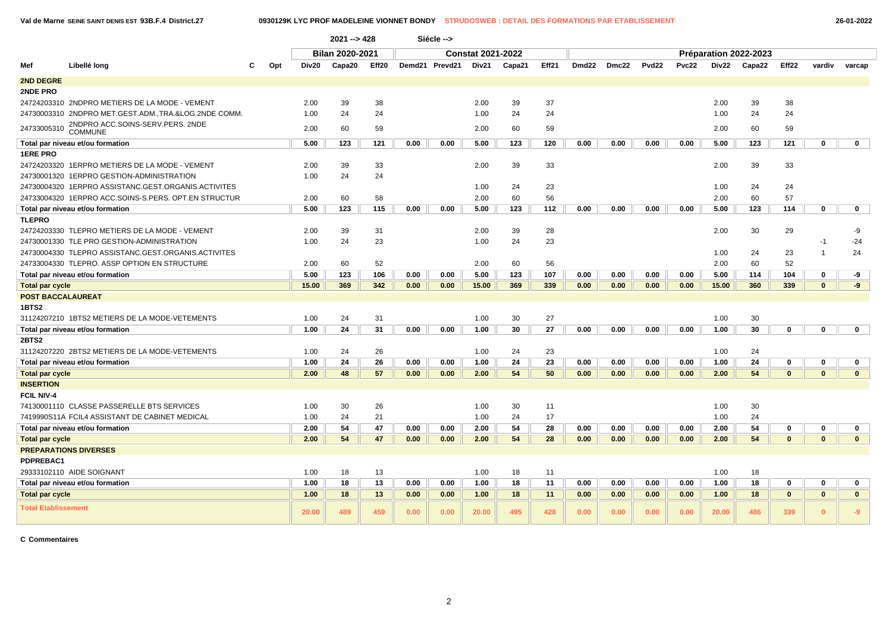|                            |                                                      |          |                                                                          | $2021 - 428$           |       |        | Siécle --> |                          |        |       |                   |       |              |       |       |                       |              |                |                         |
|----------------------------|------------------------------------------------------|----------|--------------------------------------------------------------------------|------------------------|-------|--------|------------|--------------------------|--------|-------|-------------------|-------|--------------|-------|-------|-----------------------|--------------|----------------|-------------------------|
|                            |                                                      |          |                                                                          | <b>Bilan 2020-2021</b> |       |        |            | <b>Constat 2021-2022</b> |        |       |                   |       |              |       |       | Préparation 2022-2023 |              |                |                         |
| Mef                        | Libellé long                                         | Opt<br>c | Div20                                                                    | Capa20                 | Eff20 | Demd21 | Prevd21    | Div21                    | Capa21 | Eff21 | Dmd <sub>22</sub> | Dmc22 | <b>Pvd22</b> | Pvc22 | Div22 | Capa22                | Eff22        | vardiv         | varcap                  |
| <b>2ND DEGRE</b>           |                                                      |          |                                                                          |                        |       |        |            |                          |        |       |                   |       |              |       |       |                       |              |                |                         |
| 2NDE PRO                   |                                                      |          |                                                                          |                        |       |        |            |                          |        |       |                   |       |              |       |       |                       |              |                |                         |
|                            | 24724203310 2NDPRO METIERS DE LA MODE - VEMENT       |          | 2.00                                                                     | 39                     | 38    |        |            | 2.00                     | 39     | 37    |                   |       |              |       | 2.00  | 39                    | 38           |                |                         |
|                            | 24730003310 2NDPRO MET.GEST.ADM.,TRA.&LOG.2NDE COMM. |          | 1.00                                                                     | 24                     | 24    |        |            | 1.00                     | 24     | 24    |                   |       |              |       | 1.00  | 24                    | 24           |                |                         |
| 24733005310                | 2NDPRO ACC.SOINS-SERV.PERS. 2NDE<br><b>COMMUNE</b>   |          | 2.00                                                                     | 60                     | 59    |        |            | 2.00                     | 60     | 59    |                   |       |              |       | 2.00  | 60                    | 59           |                |                         |
|                            | Total par niveau et/ou formation                     |          | 5.00                                                                     | 123                    | 121   | 0.00   | 0.00       | 5.00                     | 123    | 120   | 0.00              | 0.00  | 0.00         | 0.00  | 5.00  | 123                   | 121          | 0              | $\mathbf 0$             |
| <b>1ERE PRO</b>            |                                                      |          |                                                                          |                        |       |        |            |                          |        |       |                   |       |              |       |       |                       |              |                |                         |
|                            | 24724203320 1ERPRO METIERS DE LA MODE - VEMENT       |          | 2.00                                                                     | 39                     | 33    |        |            | 2.00                     | 39     | 33    |                   |       |              |       | 2.00  | 39                    | 33           |                |                         |
|                            | 24730001320 1ERPRO GESTION-ADMINISTRATION            |          | 1.00                                                                     | 24                     | 24    |        |            |                          |        |       |                   |       |              |       |       |                       |              |                |                         |
|                            | 24730004320 1ERPRO ASSISTANC.GEST.ORGANIS.ACTIVITES  |          |                                                                          |                        |       |        |            | 1.00                     | 24     | 23    |                   |       |              |       | 1.00  | 24                    | 24           |                |                         |
|                            | 24733004320 1ERPRO ACC.SOINS-S.PERS. OPT.EN STRUCTUR |          | 2.00                                                                     | 60                     | 58    |        |            | 2.00                     | 60     | 56    |                   |       |              |       | 2.00  | 60                    | 57           |                |                         |
|                            | Total par niveau et/ou formation                     |          | 5.00<br>123<br>115<br>112<br>0.00<br>0.00<br>5.00<br>123<br>0.00<br>0.00 |                        |       |        |            |                          |        | 0.00  | 0.00              | 5.00  | 123          | 114   | 0     | $\mathbf 0$           |              |                |                         |
| <b>TLEPRO</b>              |                                                      |          |                                                                          |                        |       |        |            |                          |        |       |                   |       |              |       |       |                       |              |                |                         |
|                            | 24724203330 TLEPRO METIERS DE LA MODE - VEMENT       |          | 2.00                                                                     | 39                     | 31    |        |            | 2.00                     | 39     | 28    |                   |       |              |       | 2.00  | 30                    | 29           |                | -9                      |
|                            | 24730001330 TLE PRO GESTION-ADMINISTRATION           |          | 1.00                                                                     | 24                     | 23    |        |            | 1.00                     | 24     | 23    |                   |       |              |       |       |                       |              | $-1$           | $-24$                   |
|                            | 24730004330 TLEPRO ASSISTANC.GEST.ORGANIS.ACTIVITES  |          |                                                                          |                        |       |        |            |                          |        |       |                   |       |              |       | 1.00  | 24                    | 23           | $\overline{1}$ | 24                      |
|                            | 24733004330 TLEPRO. ASSP OPTION EN STRUCTURE         |          | 2.00                                                                     | 60                     | 52    |        |            | 2.00                     | 60     | 56    |                   |       |              |       | 2.00  | 60                    | 52           |                |                         |
|                            | Total par niveau et/ou formation                     |          | 5.00                                                                     | 123                    | 106   | 0.00   | 0.00       | 5.00                     | 123    | 107   | 0.00              | 0.00  | 0.00         | 0.00  | 5.00  | 114                   | 104          | 0              | -9                      |
| <b>Total par cycle</b>     |                                                      |          | 15.00                                                                    | 369                    | 342   | 0.00   | 0.00       | 15.00                    | 369    | 339   | 0.00              | 0.00  | 0.00         | 0.00  | 15.00 | 360                   | 339          | $\mathbf{0}$   | $-9$                    |
| <b>POST BACCALAUREAT</b>   |                                                      |          |                                                                          |                        |       |        |            |                          |        |       |                   |       |              |       |       |                       |              |                |                         |
| 1BTS2                      |                                                      |          |                                                                          |                        |       |        |            |                          |        |       |                   |       |              |       |       |                       |              |                |                         |
|                            | 31124207210 1BTS2 METIERS DE LA MODE-VETEMENTS       |          | 1.00                                                                     | 24                     | 31    |        |            | 1.00                     | 30     | 27    |                   |       |              |       | 1.00  | 30                    |              |                |                         |
|                            | Total par niveau et/ou formation                     |          | 1.00                                                                     | 24                     | 31    | 0.00   | 0.00       | 1.00                     | 30     | 27    | 0.00              | 0.00  | 0.00         | 0.00  | 1.00  | 30                    | 0            | 0              | $\mathbf 0$             |
| <b>2BTS2</b>               |                                                      |          |                                                                          |                        |       |        |            |                          |        |       |                   |       |              |       |       |                       |              |                |                         |
|                            | 31124207220 2BTS2 METIERS DE LA MODE-VETEMENTS       |          | 1.00                                                                     | 24                     | 26    |        |            | 1.00                     | 24     | 23    |                   |       |              |       | 1.00  | 24                    |              |                |                         |
|                            | Total par niveau et/ou formation                     |          | 1.00                                                                     | 24                     | 26    | 0.00   | 0.00       | 1.00                     | 24     | 23    | 0.00              | 0.00  | 0.00         | 0.00  | 1.00  | 24                    | 0            | 0              | $\mathbf 0$             |
| <b>Total par cycle</b>     |                                                      |          | 2.00                                                                     | 48                     | 57    | 0.00   | 0.00       | 2.00                     | 54     | 50    | 0.00              | 0.00  | 0.00         | 0.00  | 2.00  | 54                    | $\mathbf{0}$ | $\mathbf{0}$   | $\overline{\mathbf{0}}$ |
| <b>INSERTION</b>           |                                                      |          |                                                                          |                        |       |        |            |                          |        |       |                   |       |              |       |       |                       |              |                |                         |
| <b>FCIL NIV-4</b>          |                                                      |          |                                                                          |                        |       |        |            |                          |        |       |                   |       |              |       |       |                       |              |                |                         |
|                            | 74130001110 CLASSE PASSERELLE BTS SERVICES           |          | 1.00                                                                     | 30                     | 26    |        |            | 1.00                     | 30     | 11    |                   |       |              |       | 1.00  | 30                    |              |                |                         |
|                            | 7419990S11A FCIL4 ASSISTANT DE CABINET MEDICAL       |          | 1.00                                                                     | 24                     | 21    |        |            | 1.00                     | 24     | 17    |                   |       |              |       | 1.00  | 24                    |              |                |                         |
|                            | Total par niveau et/ou formation                     |          | 2.00                                                                     | 54                     | 47    | 0.00   | 0.00       | 2.00                     | 54     | 28    | 0.00              | 0.00  | 0.00         | 0.00  | 2.00  | 54                    | 0            | 0              | $\mathbf 0$             |
| <b>Total par cycle</b>     |                                                      |          | 2.00                                                                     | 54                     | 47    | 0.00   | 0.00       | 2.00                     | 54     | 28    | 0.00              | 0.00  | 0.00         | 0.00  | 2.00  | 54                    | $\mathbf{0}$ | $\mathbf{0}$   | $\mathbf{0}$            |
|                            | <b>PREPARATIONS DIVERSES</b>                         |          |                                                                          |                        |       |        |            |                          |        |       |                   |       |              |       |       |                       |              |                |                         |
| PDPREBAC1                  |                                                      |          |                                                                          |                        |       |        |            |                          |        |       |                   |       |              |       |       |                       |              |                |                         |
|                            | 29333102110 AIDE SOIGNANT                            |          | 1.00                                                                     | 18                     | 13    |        |            | 1.00                     | 18     | 11    |                   |       |              |       | 1.00  | 18                    |              |                |                         |
|                            | Total par niveau et/ou formation                     |          | 1.00                                                                     | 18                     | 13    | 0.00   | 0.00       | 1.00                     | 18     | 11    | 0.00              | 0.00  | 0.00         | 0.00  | 1.00  | 18                    | 0            | 0              | $\mathbf 0$             |
| <b>Total par cycle</b>     |                                                      |          | 1.00                                                                     | 18                     | 13    | 0.00   | 0.00       | 1.00                     | 18     | 11    | 0.00              | 0.00  | 0.00         | 0.00  | 1.00  | 18                    | $\bf{0}$     | $\mathbf{0}$   | $\mathbf{0}$            |
| <b>Total Etablissement</b> |                                                      |          | 20.00                                                                    | 489                    | 459   | 0.00   | 0.00       | 20.00                    | 495    | 428   | 0.00              | 0.00  | 0.00         | 0.00  | 20.00 | 486                   | 339          | $\mathbf{0}$   | $-9$                    |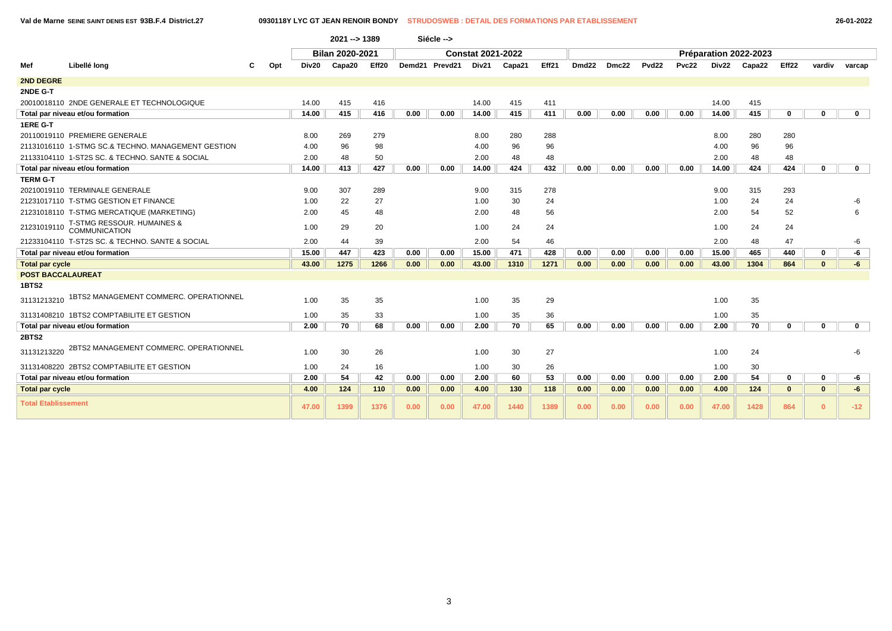T

**Val de Marne SEINE SAINT DENIS EST 93B.F.4 District.27 0930118Y LYC GT JEAN RENOIR BONDY STRUDOSWEB : DETAIL DES FORMATIONS PAR ETABLISSEMENT 26-01-2022**

|                            |                                                    |     |       | 2021 -- > 1389         |       |      | Siécle -->     |                          |        |       |                   |       |                   |       |       |                       |              |              |              |
|----------------------------|----------------------------------------------------|-----|-------|------------------------|-------|------|----------------|--------------------------|--------|-------|-------------------|-------|-------------------|-------|-------|-----------------------|--------------|--------------|--------------|
|                            |                                                    |     |       | <b>Bilan 2020-2021</b> |       |      |                | <b>Constat 2021-2022</b> |        |       |                   |       |                   |       |       | Préparation 2022-2023 |              |              |              |
| Mef                        | Libellé lona                                       | Opt | Div20 | Capa20                 | Eff20 |      | Demd21 Prevd21 | Div21                    | Capa21 | Eff21 | Dmd <sub>22</sub> | Dmc22 | Pvd <sub>22</sub> | Pvc22 | Div22 | Capa22                | Eff22        | vardiv       | varcap       |
| <b>2ND DEGRE</b>           |                                                    |     |       |                        |       |      |                |                          |        |       |                   |       |                   |       |       |                       |              |              |              |
| 2NDE G-T                   |                                                    |     |       |                        |       |      |                |                          |        |       |                   |       |                   |       |       |                       |              |              |              |
|                            | 20010018110 2NDE GENERALE ET TECHNOLOGIQUE         |     | 14.00 | 415                    | 416   |      |                | 14.00                    | 415    | 411   |                   |       |                   |       | 14.00 | 415                   |              |              |              |
|                            | Total par niveau et/ou formation                   |     | 14.00 | 415                    | 416   | 0.00 | 0.00           | 14.00                    | 415    | 411   | 0.00              | 0.00  | 0.00              | 0.00  | 14.00 | 415                   | $\mathbf 0$  | $\mathbf{0}$ | $\mathbf 0$  |
| <b>1ERE G-T</b>            |                                                    |     |       |                        |       |      |                |                          |        |       |                   |       |                   |       |       |                       |              |              |              |
|                            | 20110019110 PREMIERE GENERALE                      |     | 8.00  | 269                    | 279   |      |                | 8.00                     | 280    | 288   |                   |       |                   |       | 8.00  | 280                   | 280          |              |              |
|                            | 21131016110 1-STMG SC.& TECHNO. MANAGEMENT GESTION |     | 4.00  | 96                     | 98    |      |                | 4.00                     | 96     | 96    |                   |       |                   |       | 4.00  | 96                    | 96           |              |              |
|                            | 21133104110  1-ST2S SC. & TECHNO. SANTE & SOCIAL   |     | 2.00  | 48                     | 50    |      |                | 2.00                     | 48     | 48    |                   |       |                   |       | 2.00  | 48                    | 48           |              |              |
|                            | Total par niveau et/ou formation                   |     | 14.00 | 413                    | 427   | 0.00 | 0.00           | 14.00                    | 424    | 432   | 0.00              | 0.00  | 0.00              | 0.00  | 14.00 | 424                   | 424          | $\bf{0}$     | $\mathbf 0$  |
| <b>TERM G-T</b>            |                                                    |     |       |                        |       |      |                |                          |        |       |                   |       |                   |       |       |                       |              |              |              |
|                            | 20210019110 TERMINALE GENERALE                     |     | 9.00  | 307                    | 289   |      |                | 9.00                     | 315    | 278   |                   |       |                   |       | 9.00  | 315                   | 293          |              |              |
|                            | 21231017110 T-STMG GESTION ET FINANCE              |     | 1.00  | 22                     | 27    |      |                | 1.00                     | 30     | 24    |                   |       |                   |       | 1.00  | 24                    | 24           |              | -6           |
|                            | 21231018110 T-STMG MERCATIQUE (MARKETING)          |     | 2.00  | 45                     | 48    |      |                | 2.00                     | 48     | 56    |                   |       |                   |       | 2.00  | 54                    | 52           |              | 6            |
| 21231019110                | T-STMG RESSOUR. HUMAINES &<br><b>COMMUNICATION</b> |     | 1.00  | 29                     | 20    |      |                | 1.00                     | 24     | 24    |                   |       |                   |       | 1.00  | 24                    | 24           |              |              |
|                            | 21233104110 T-ST2S SC. & TECHNO. SANTE & SOCIAL    |     | 2.00  | 44                     | 39    |      |                | 2.00                     | 54     | 46    |                   |       |                   |       | 2.00  | 48                    | 47           |              | -6           |
|                            | Total par niveau et/ou formation                   |     | 15.00 | 447                    | 423   | 0.00 | 0.00           | 15.00                    | 471    | 428   | 0.00              | 0.00  | 0.00              | 0.00  | 15.00 | 465                   | 440          | $\mathbf{0}$ | -6           |
| <b>Total par cycle</b>     |                                                    |     | 43.00 | 1275                   | 1266  | 0.00 | 0.00           | 43.00                    | 1310   | 1271  | 0.00              | 0.00  | 0.00              | 0.00  | 43.00 | 1304                  | 864          | $\mathbf{0}$ | $-6$         |
| <b>POST BACCALAUREAT</b>   |                                                    |     |       |                        |       |      |                |                          |        |       |                   |       |                   |       |       |                       |              |              |              |
| <b>1BTS2</b>               |                                                    |     |       |                        |       |      |                |                          |        |       |                   |       |                   |       |       |                       |              |              |              |
| 31131213210                | 1BTS2 MANAGEMENT COMMERC. OPERATIONNEL             |     | 1.00  | 35                     | 35    |      |                | 1.00                     | 35     | 29    |                   |       |                   |       | 1.00  | 35                    |              |              |              |
|                            | 31131408210 1BTS2 COMPTABILITE ET GESTION          |     | 1.00  | 35                     | 33    |      |                | 1.00                     | 35     | 36    |                   |       |                   |       | 1.00  | 35                    |              |              |              |
|                            | Total par niveau et/ou formation                   |     | 2.00  | 70                     | 68    | 0.00 | 0.00           | 2.00                     | 70     | 65    | 0.00              | 0.00  | 0.00              | 0.00  | 2.00  | 70                    | $\mathbf 0$  | 0            | $\mathbf{0}$ |
| 2BTS2                      |                                                    |     |       |                        |       |      |                |                          |        |       |                   |       |                   |       |       |                       |              |              |              |
| 31131213220                | 2BTS2 MANAGEMENT COMMERC. OPERATIONNEL             |     | 1.00  | 30                     | 26    |      |                | 1.00                     | 30     | 27    |                   |       |                   |       | 1.00  | 24                    |              |              | -6           |
|                            | 31131408220 2BTS2 COMPTABILITE ET GESTION          |     | 1.00  | 24                     | 16    |      |                | 1.00                     | 30     | 26    |                   |       |                   |       | 1.00  | 30                    |              |              |              |
|                            | Total par niveau et/ou formation                   |     | 2.00  | 54                     | 42    | 0.00 | 0.00           | 2.00                     | 60     | 53    | 0.00              | 0.00  | 0.00              | 0.00  | 2.00  | 54                    | $\mathbf 0$  | 0            | -6           |
| <b>Total par cycle</b>     |                                                    |     | 4.00  | 124                    | 110   | 0.00 | 0.00           | 4.00                     | 130    | 118   | 0.00              | 0.00  | 0.00              | 0.00  | 4.00  | 124                   | $\mathbf{0}$ | $\mathbf{0}$ | -6           |
| <b>Total Etablissement</b> |                                                    |     | 47.00 | 1399                   | 1376  | 0.00 | 0.00           | 47.00                    | 1440   | 1389  | 0.00              | 0.00  | 0.00              | 0.00  | 47.00 | 1428                  | 864          | $\mathbf{0}$ | $-12$        |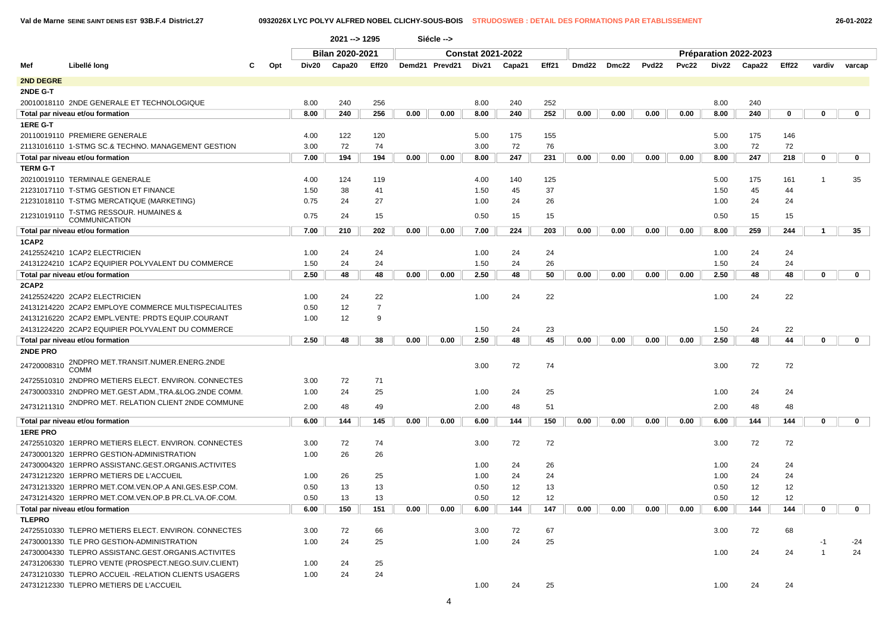|                  |                                                       |     |       | 2021 -- > 1295                         |                |      |                |                          |        |       |                   |       |                   |              |       |                       |           |              |              |  |
|------------------|-------------------------------------------------------|-----|-------|----------------------------------------|----------------|------|----------------|--------------------------|--------|-------|-------------------|-------|-------------------|--------------|-------|-----------------------|-----------|--------------|--------------|--|
|                  |                                                       |     |       | <b>Bilan 2020-2021</b>                 |                |      |                | <b>Constat 2021-2022</b> |        |       |                   |       |                   |              |       | Préparation 2022-2023 |           |              |              |  |
| Mef              | Libellé long                                          | Opt | Div20 | Eff20<br>Capa20                        |                |      | Demd21 Prevd21 | Div21                    | Capa21 | Eff21 | Dmd <sub>22</sub> | Dmc22 | Pvd <sub>22</sub> | <b>Pvc22</b> | Div22 | Capa22                | Eff22     | vardiv       | varcap       |  |
| <b>2ND DEGRE</b> |                                                       |     |       |                                        |                |      |                |                          |        |       |                   |       |                   |              |       |                       |           |              |              |  |
|                  |                                                       |     |       |                                        |                |      |                |                          |        |       |                   |       |                   |              |       |                       |           |              |              |  |
| 2NDE G-T         | 20010018110 2NDE GENERALE ET TECHNOLOGIQUE            |     | 8.00  | 240                                    |                |      |                | 8.00                     | 240    | 252   |                   |       |                   |              | 8.00  | 240                   |           |              |              |  |
|                  |                                                       |     | 8.00  | 240                                    | 256<br>256     | 0.00 | 0.00           |                          | 240    |       | 0.00              | 0.00  | 0.00              |              |       | 240                   | 0         | $\mathbf 0$  | 0            |  |
| 1ERE G-T         | Total par niveau et/ou formation                      |     |       |                                        |                |      |                | 8.00                     |        | 252   |                   |       |                   | 0.00         | 8.00  |                       |           |              |              |  |
|                  | 20110019110 PREMIERE GENERALE                         |     |       | 4.00<br>122<br>120<br>72<br>3.00<br>74 |                |      |                | 5.00                     | 175    | 155   |                   |       |                   |              | 5.00  | 175                   | 146       |              |              |  |
|                  |                                                       |     |       |                                        |                |      |                |                          |        |       |                   |       |                   |              |       |                       |           |              |              |  |
|                  | 21131016110 1-STMG SC.& TECHNO. MANAGEMENT GESTION    |     | 7.00  | 194                                    | 194            |      |                | 3.00                     | 72     | 76    |                   |       |                   |              | 3.00  | 72<br>247             | 72<br>218 |              |              |  |
|                  | Total par niveau et/ou formation                      |     |       |                                        |                | 0.00 | 0.00           | 8.00                     | 247    | 231   | 0.00              | 0.00  | 0.00              | 0.00         | 8.00  |                       |           | $\mathbf 0$  | $\mathbf{0}$ |  |
| <b>TERM G-T</b>  | 20210019110 TERMINALE GENERALE                        |     |       |                                        | 119            |      |                |                          | 140    | 125   |                   |       |                   |              |       | 175                   | 161       | -1           | 35           |  |
|                  |                                                       |     | 4.00  | 124                                    |                |      |                | 4.00                     |        |       |                   |       |                   |              | 5.00  |                       |           |              |              |  |
|                  | 21231017110 T-STMG GESTION ET FINANCE                 |     | 1.50  | 38                                     | 41             |      |                | 1.50                     | 45     | 37    |                   |       |                   |              | 1.50  | 45                    | 44        |              |              |  |
|                  | 21231018110 T-STMG MERCATIQUE (MARKETING)             |     | 0.75  | 24                                     | 27             |      |                | 1.00                     | 24     | 26    |                   |       |                   |              | 1.00  | 24                    | 24        |              |              |  |
| 21231019110      | T-STMG RESSOUR. HUMAINES & COMMUNICATION              |     | 0.75  | 24                                     | 15             |      |                | 0.50                     | 15     | 15    |                   |       |                   |              | 0.50  | 15                    | 15        |              |              |  |
|                  | Total par niveau et/ou formation                      |     | 7.00  | 210                                    | 202            | 0.00 | 0.00           | 7.00                     | 224    | 203   | 0.00              | 0.00  | 0.00              | 0.00         | 8.00  | 259                   | 244       | $\mathbf{1}$ | 35           |  |
| 1CAP2            |                                                       |     |       |                                        |                |      |                |                          |        |       |                   |       |                   |              |       |                       |           |              |              |  |
|                  | 24125524210 1CAP2 ELECTRICIEN                         |     | 1.00  | 24                                     | 24             |      |                | 1.00                     | 24     | 24    |                   |       |                   |              | 1.00  | 24                    | 24        |              |              |  |
|                  | 24131224210 1CAP2 EQUIPIER POLYVALENT DU COMMERCE     |     | 1.50  | 24                                     | 24             |      |                | 1.50                     | 24     | 26    |                   |       |                   |              | 1.50  | 24                    | 24        |              |              |  |
|                  | Total par niveau et/ou formation                      |     | 2.50  | 48                                     | 48             | 0.00 | 0.00           | 2.50                     | 48     | 50    | 0.00              | 0.00  | 0.00              | 0.00         | 2.50  | 48                    | 48        | $\mathbf 0$  | $\mathbf 0$  |  |
| 2CAP2            |                                                       |     |       |                                        |                |      |                |                          |        |       |                   |       |                   |              |       |                       |           |              |              |  |
|                  | 24125524220 2CAP2 ELECTRICIEN                         |     | 1.00  | 24                                     | 22             |      |                | 1.00                     | 24     | 22    |                   |       |                   |              | 1.00  | 24                    | 22        |              |              |  |
|                  | 24131214220 2CAP2 EMPLOYE COMMERCE MULTISPECIALITES   |     | 0.50  | 12                                     | $\overline{7}$ |      |                |                          |        |       |                   |       |                   |              |       |                       |           |              |              |  |
|                  | 24131216220 2CAP2 EMPL.VENTE: PRDTS EQUIP.COURANT     |     | 1.00  | 12                                     | 9              |      |                |                          |        |       |                   |       |                   |              |       |                       |           |              |              |  |
|                  | 24131224220 2CAP2 EQUIPIER POLYVALENT DU COMMERCE     |     |       |                                        |                |      |                | 1.50                     | 24     | 23    |                   |       |                   |              | 1.50  | 24                    | 22        |              |              |  |
|                  | Total par niveau et/ou formation                      |     | 2.50  | 48                                     | 38             | 0.00 | 0.00           | 2.50                     | 48     | 45    | 0.00              | 0.00  | 0.00              | 0.00         | 2.50  | 48                    | 44        | 0            | $\mathbf{0}$ |  |
| 2NDE PRO         |                                                       |     |       |                                        |                |      |                |                          |        |       |                   |       |                   |              |       |                       |           |              |              |  |
| 24720008310      | 2NDPRO MET.TRANSIT.NUMER.ENERG.2NDE<br><b>COMM</b>    |     |       |                                        |                |      |                | 3.00                     | 72     | 74    |                   |       |                   |              | 3.00  | 72                    | 72        |              |              |  |
|                  | 24725510310 2NDPRO METIERS ELECT. ENVIRON. CONNECTES  |     | 3.00  | 72                                     | 71             |      |                |                          |        |       |                   |       |                   |              |       |                       |           |              |              |  |
|                  | 24730003310 2NDPRO MET.GEST.ADM., TRA.&LOG.2NDE COMM. |     | 1.00  | 24                                     | 25             |      |                | 1.00                     | 24     | 25    |                   |       |                   |              | 1.00  | 24                    | 24        |              |              |  |
| 24731211310      | 2NDPRO MET. RELATION CLIENT 2NDE COMMUNE              |     |       | 48                                     | 49             |      |                |                          |        |       |                   |       |                   |              |       |                       |           |              |              |  |
|                  |                                                       |     | 2.00  |                                        |                |      |                | 2.00                     | 48     | 51    |                   |       |                   |              | 2.00  | 48                    | 48        |              |              |  |
|                  | Total par niveau et/ou formation                      |     | 6.00  | 144                                    | 145            | 0.00 | 0.00           | 6.00                     | 144    | 150   | 0.00              | 0.00  | 0.00              | 0.00         | 6.00  | 144                   | 144       | $\mathbf 0$  | $\mathbf 0$  |  |
| <b>1ERE PRO</b>  |                                                       |     |       |                                        |                |      |                |                          |        |       |                   |       |                   |              |       |                       |           |              |              |  |
|                  | 24725510320 1ERPRO METIERS ELECT. ENVIRON. CONNECTES  |     | 3.00  | 72                                     | 74             |      |                | 3.00                     | 72     | 72    |                   |       |                   |              | 3.00  | 72                    | 72        |              |              |  |
|                  | 24730001320 1ERPRO GESTION-ADMINISTRATION             |     | 1.00  | 26                                     | 26             |      |                |                          |        |       |                   |       |                   |              |       |                       |           |              |              |  |
|                  | 24730004320 1ERPRO ASSISTANC.GEST.ORGANIS.ACTIVITES   |     |       |                                        |                |      |                | 1.00                     | 24     | 26    |                   |       |                   |              | 1.00  | 24                    | 24        |              |              |  |
|                  | 24731212320 1ERPRO METIERS DE L'ACCUEIL               |     | 1.00  | 26                                     | 25             |      |                | 1.00                     | 24     | 24    |                   |       |                   |              | 1.00  | 24                    | 24        |              |              |  |
|                  | 24731213320 1ERPRO MET.COM.VEN.OP.A ANI.GES.ESP.COM.  |     | 0.50  | 13                                     | 13             |      |                | 0.50                     | 12     | 13    |                   |       |                   |              | 0.50  | 12                    | 12        |              |              |  |
|                  | 24731214320 1ERPRO MET.COM.VEN.OP.B PR.CL.VA.OF.COM.  |     | 0.50  | 13                                     | 13             |      |                | 0.50                     | 12     | 12    |                   |       |                   |              | 0.50  | 12                    | 12        |              |              |  |
|                  | Total par niveau et/ou formation                      |     | 6.00  | 150                                    | 151            | 0.00 | 0.00           | 6.00                     | 144    | 147   | 0.00              | 0.00  | 0.00              | 0.00         | 6.00  | 144                   | 144       | 0            | U            |  |
| <b>TLEPRO</b>    |                                                       |     |       |                                        |                |      |                |                          |        |       |                   |       |                   |              |       |                       |           |              |              |  |
|                  | 24725510330 TLEPRO METIERS ELECT. ENVIRON. CONNECTES  |     | 3.00  | 72                                     | 66             |      |                | 3.00                     | 72     | 67    |                   |       |                   |              | 3.00  | 72                    | 68        |              |              |  |
|                  | 24730001330 TLE PRO GESTION-ADMINISTRATION            |     | 1.00  | 24                                     | 25             |      |                | 1.00                     | 24     | 25    |                   |       |                   |              |       |                       |           | $-1$         | -24          |  |
|                  | 24730004330 TLEPRO ASSISTANC.GEST.ORGANIS.ACTIVITES   |     |       |                                        |                |      |                |                          |        |       |                   |       |                   |              | 1.00  | 24                    | 24        |              | 24           |  |
|                  | 24731206330 TLEPRO VENTE (PROSPECT.NEGO.SUIV.CLIENT)  |     | 1.00  | 24                                     | 25             |      |                |                          |        |       |                   |       |                   |              |       |                       |           |              |              |  |
|                  | 24731210330 TLEPRO ACCUEIL -RELATION CLIENTS USAGERS  |     | 1.00  | 24                                     | 24             |      |                |                          |        |       |                   |       |                   |              |       |                       |           |              |              |  |
|                  | 24731212330 TLEPRO METIERS DE L'ACCUEIL               |     |       |                                        |                |      |                | 1.00                     | 24     | 25    |                   |       |                   |              | 1.00  | 24                    | 24        |              |              |  |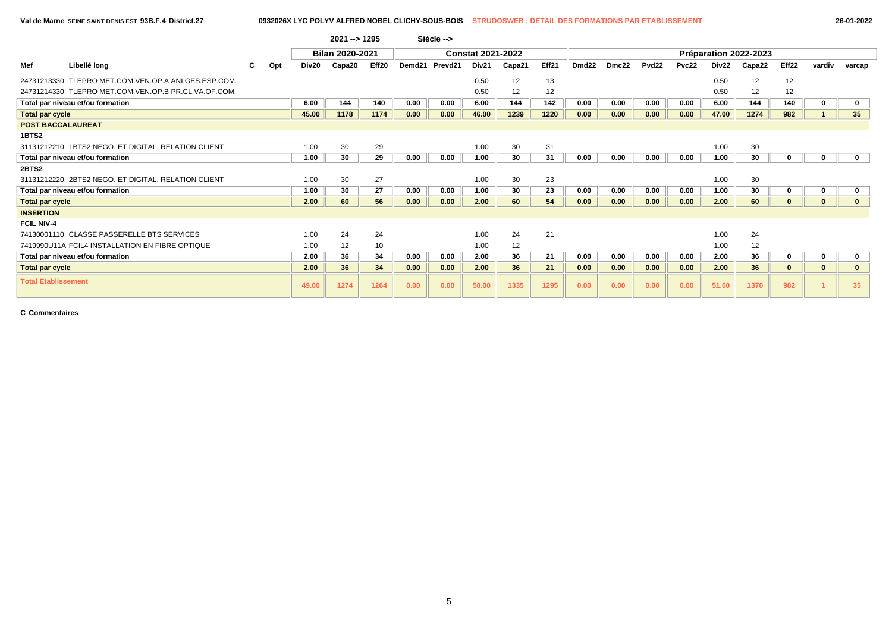|                            |                                                      |  |     |       | $2021 - 1295$          |       |        | Siécle --> |                          |        |       |                   |       |                   |       |       |                       |          |        |                 |
|----------------------------|------------------------------------------------------|--|-----|-------|------------------------|-------|--------|------------|--------------------------|--------|-------|-------------------|-------|-------------------|-------|-------|-----------------------|----------|--------|-----------------|
|                            | Libellé long<br>C                                    |  |     |       | <b>Bilan 2020-2021</b> |       |        |            | <b>Constat 2021-2022</b> |        |       |                   |       |                   |       |       | Préparation 2022-2023 |          |        |                 |
| Mef                        |                                                      |  | Opt | Div20 | Capa20                 | Eff20 | Demd21 | Prevd21    | Div21                    | Capa21 | Eff21 | Dmd <sub>22</sub> | Dmc22 | Pvd <sub>22</sub> | Pvc22 | Div22 | Capa22                | Eff22    | vardiv | varcap          |
|                            | 24731213330 TLEPRO MET.COM.VEN.OP.A ANI.GES.ESP.COM. |  |     |       |                        |       |        |            | 0.50                     | 12     | 13    |                   |       |                   |       | 0.50  | 12                    | 12       |        |                 |
|                            | 24731214330 TLEPRO MET.COM.VEN.OP.B PR.CL.VA.OF.COM. |  |     |       |                        |       |        |            | 0.50                     | 12     | 12    |                   |       |                   |       | 0.50  | 12                    | 12       |        |                 |
|                            | Total par niveau et/ou formation                     |  |     | 6.00  | 144                    | 140   | 0.00   | 0.00       | 6.00                     | 144    | 142   | 0.00              | 0.00  | 0.00              | 0.00  | 6.00  | 144                   | 140      |        |                 |
| <b>Total par cycle</b>     |                                                      |  |     | 45.00 | 1178                   | 1174  | 0.00   | 0.00       | 46.00                    | 1239   | 1220  | 0.00              | 0.00  | 0.00              | 0.00  | 47.00 | 1274                  | 982      |        | 35 <sub>5</sub> |
| <b>POST BACCALAUREAT</b>   |                                                      |  |     |       |                        |       |        |            |                          |        |       |                   |       |                   |       |       |                       |          |        |                 |
| 1BTS2                      |                                                      |  |     |       |                        |       |        |            |                          |        |       |                   |       |                   |       |       |                       |          |        |                 |
|                            | 31131212210 1BTS2 NEGO, ET DIGITAL, RELATION CLIENT  |  |     | 1.00  | 30                     | 29    |        |            | 1.00                     | 30     | 31    |                   |       |                   |       | 1.00  | 30                    |          |        |                 |
|                            | Total par niveau et/ou formation                     |  |     | 1.00  | 30                     | 29    | 0.00   | 0.00       | 1.00                     | 30     | 31    | 0.00              | 0.00  | 0.00              | 0.00  | 1.00  | 30                    | O        |        |                 |
| 2BTS2                      |                                                      |  |     |       |                        |       |        |            |                          |        |       |                   |       |                   |       |       |                       |          |        |                 |
|                            | 31131212220 2BTS2 NEGO. ET DIGITAL. RELATION CLIENT  |  |     | 1.00  | 30                     | 27    |        |            | 1.00                     | 30     | 23    |                   |       |                   |       | 1.00  | 30                    |          |        |                 |
|                            | Total par niveau et/ou formation                     |  |     | 1.00  | 30                     | 27    | 0.00   | 0.00       | 1.00                     | 30     | 23    | 0.00              | 0.00  | 0.00              | 0.00  | 1.00  | 30                    | 0        |        |                 |
| <b>Total par cycle</b>     |                                                      |  |     | 2.00  | 60                     | 56    | 0.00   | 0.00       | 2.00                     | 60     | 54    | 0.00              | 0.00  | 0.00              | 0.00  | 2.00  | 60                    | $\bf{0}$ |        |                 |
| <b>INSERTION</b>           |                                                      |  |     |       |                        |       |        |            |                          |        |       |                   |       |                   |       |       |                       |          |        |                 |
| <b>FCIL NIV-4</b>          |                                                      |  |     |       |                        |       |        |            |                          |        |       |                   |       |                   |       |       |                       |          |        |                 |
|                            | 74130001110 CLASSE PASSERELLE BTS SERVICES           |  |     | 1.00  | 24                     | 24    |        |            | 1.00                     | 24     | 21    |                   |       |                   |       | 1.00  | 24                    |          |        |                 |
|                            | 7419990U11A FCIL4 INSTALLATION EN FIBRE OPTIQUE      |  |     | 1.00  | 12                     | 10    |        |            | 1.00                     | 12     |       |                   |       |                   |       | 1.00  | 12                    |          |        |                 |
|                            | Total par niveau et/ou formation                     |  |     | 2.00  | 36                     | 34    | 0.00   | 0.00       | 2.00                     | 36     | 21    | 0.00              | 0.00  | 0.00              | 0.00  | 2.00  | 36                    |          |        |                 |
| <b>Total par cycle</b>     |                                                      |  |     | 2.00  | 36                     | 34    | 0.00   | 0.00       | 2.00                     | 36     | 21    | 0.00              | 0.00  | 0.00              | 0.00  | 2.00  | 36                    |          |        |                 |
| <b>Total Etablissement</b> |                                                      |  |     | 49.00 | 1274                   | 1264  | 0.00   | 0.00       | 50.00                    | 1335   | 1295  | 0.00              | 0.00  | 0.00              | 0.00  | 51.00 | 1370                  | 982      |        | 35              |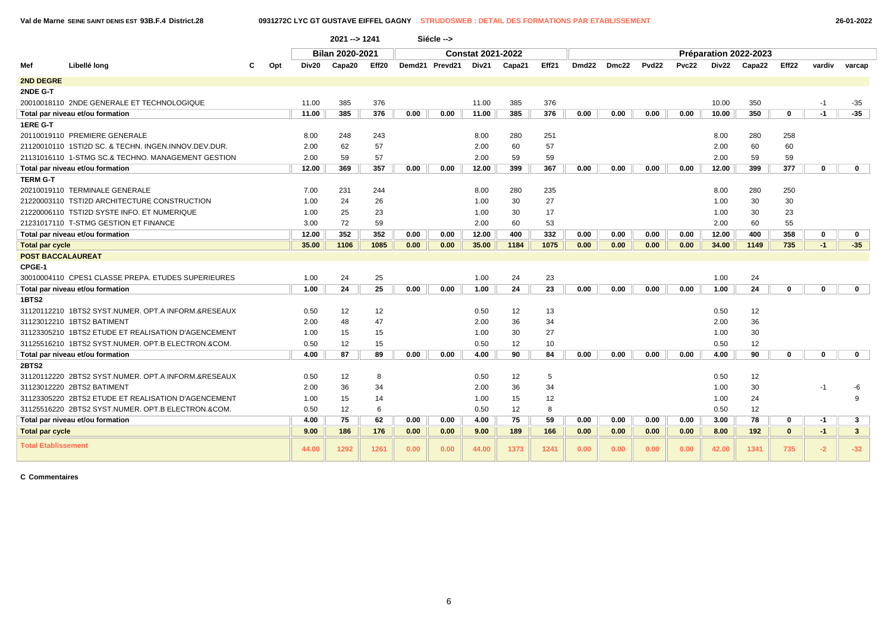**Val de Marne SEINE SAINT DENIS EST 93B.F.4 District.28 0931272C LYC GT GUSTAVE EIFFEL GAGNY STRUDOSWEB : DETAIL DES FORMATIONS PAR ETABLISSEMENT 26-01-2022**

|                            |                                                      |     |       | 2021 -- > 1241         |       |      | Siécle -->     |                          |        |       |       |       |                   |       |       |                       |              |             |              |
|----------------------------|------------------------------------------------------|-----|-------|------------------------|-------|------|----------------|--------------------------|--------|-------|-------|-------|-------------------|-------|-------|-----------------------|--------------|-------------|--------------|
|                            |                                                      |     |       | <b>Bilan 2020-2021</b> |       |      |                | <b>Constat 2021-2022</b> |        |       |       |       |                   |       |       | Préparation 2022-2023 |              |             |              |
| Mef                        | Libellé long                                         | Opt | Div20 | Capa20                 | Eff20 |      | Demd21 Prevd21 | Div21                    | Capa21 | Eff21 | Dmd22 | Dmc22 | Pvd <sub>22</sub> | Pvc22 | Div22 | Capa22                | Eff22        | vardiv      | varcap       |
| <b>2ND DEGRE</b>           |                                                      |     |       |                        |       |      |                |                          |        |       |       |       |                   |       |       |                       |              |             |              |
| 2NDE G-T                   |                                                      |     |       |                        |       |      |                |                          |        |       |       |       |                   |       |       |                       |              |             |              |
|                            | 20010018110 2NDE GENERALE ET TECHNOLOGIQUE           |     | 11.00 | 385                    | 376   |      |                | 11.00                    | 385    | 376   |       |       |                   |       | 10.00 | 350                   |              | $-1$        | $-35$        |
|                            | Total par niveau et/ou formation                     |     | 11.00 | 385                    | 376   | 0.00 | 0.00           | 11.00                    | 385    | 376   | 0.00  | 0.00  | 0.00              | 0.00  | 10.00 | 350                   | $\mathbf 0$  | $-1$        | $-35$        |
| 1ERE G-T                   |                                                      |     |       |                        |       |      |                |                          |        |       |       |       |                   |       |       |                       |              |             |              |
|                            | 20110019110 PREMIERE GENERALE                        |     | 8.00  | 248                    | 243   |      |                | 8.00                     | 280    | 251   |       |       |                   |       | 8.00  | 280                   | 258          |             |              |
|                            | 21120010110 1STI2D SC. & TECHN. INGEN.INNOV.DEV.DUR. |     | 2.00  | 62                     | 57    |      |                | 2.00                     | 60     | 57    |       |       |                   |       | 2.00  | 60                    | 60           |             |              |
|                            | 21131016110 1-STMG SC.& TECHNO. MANAGEMENT GESTION   |     | 2.00  | 59                     | 57    |      |                | 2.00                     | 59     | 59    |       |       |                   |       | 2.00  | 59                    | 59           |             |              |
|                            | Total par niveau et/ou formation                     |     | 12.00 | 369                    | 357   | 0.00 | 0.00           | 12.00                    | 399    | 367   | 0.00  | 0.00  | 0.00              | 0.00  | 12.00 | 399                   | 377          | $\mathbf 0$ | $\mathbf 0$  |
| <b>TERM G-T</b>            |                                                      |     |       |                        |       |      |                |                          |        |       |       |       |                   |       |       |                       |              |             |              |
|                            | 20210019110 TERMINALE GENERALE                       |     | 7.00  | 231                    | 244   |      |                | 8.00                     | 280    | 235   |       |       |                   |       | 8.00  | 280                   | 250          |             |              |
|                            | 21220003110 TSTI2D ARCHITECTURE CONSTRUCTION         |     | 1.00  | 24                     | 26    |      |                | 1.00                     | 30     | 27    |       |       |                   |       | 1.00  | 30                    | 30           |             |              |
|                            | 21220006110 TSTI2D SYSTE INFO. ET NUMERIQUE          |     | 1.00  | 25                     | 23    |      |                | 1.00                     | 30     | 17    |       |       |                   |       | 1.00  | 30                    | 23           |             |              |
|                            | 21231017110 T-STMG GESTION ET FINANCE                |     | 3.00  | 72                     | 59    |      |                | 2.00                     | 60     | 53    |       |       |                   |       | 2.00  | 60                    | 55           |             |              |
|                            | Total par niveau et/ou formation                     |     | 12.00 | 352                    | 352   | 0.00 | 0.00           | 12.00                    | 400    | 332   | 0.00  | 0.00  | 0.00              | 0.00  | 12.00 | 400                   | 358          | $\mathbf 0$ | $\mathbf{0}$ |
| <b>Total par cycle</b>     |                                                      |     | 35.00 | 1106                   | 1085  | 0.00 | 0.00           | 35.00                    | 1184   | 1075  | 0.00  | 0.00  | 0.00              | 0.00  | 34.00 | 1149                  | 735          | $-1$        | $-35$        |
| <b>POST BACCALAUREAT</b>   |                                                      |     |       |                        |       |      |                |                          |        |       |       |       |                   |       |       |                       |              |             |              |
| CPGE-1                     |                                                      |     |       |                        |       |      |                |                          |        |       |       |       |                   |       |       |                       |              |             |              |
|                            | 30010004110 CPES1 CLASSE PREPA. ETUDES SUPERIEURES   |     | 1.00  | 24                     | 25    |      |                | 1.00                     | 24     | 23    |       |       |                   |       | 1.00  | 24                    |              |             |              |
|                            | Total par niveau et/ou formation                     |     | 1.00  | 24                     | 25    | 0.00 | 0.00           | 1.00                     | 24     | 23    | 0.00  | 0.00  | 0.00              | 0.00  | 1.00  | 24                    | 0            | $\bf{0}$    | $\mathbf{0}$ |
| <b>1BTS2</b>               |                                                      |     |       |                        |       |      |                |                          |        |       |       |       |                   |       |       |                       |              |             |              |
|                            | 31120112210 1BTS2 SYST.NUMER. OPT.A INFORM.&RESEAUX  |     | 0.50  | 12                     | 12    |      |                | 0.50                     | 12     | 13    |       |       |                   |       | 0.50  | 12                    |              |             |              |
|                            | 31123012210 1BTS2 BATIMENT                           |     | 2.00  | 48                     | 47    |      |                | 2.00                     | 36     | 34    |       |       |                   |       | 2.00  | 36                    |              |             |              |
|                            | 31123305210 1BTS2 ETUDE ET REALISATION D'AGENCEMENT  |     | 1.00  | 15                     | 15    |      |                | 1.00                     | 30     | 27    |       |       |                   |       | 1.00  | 30                    |              |             |              |
|                            | 31125516210 1BTS2 SYST.NUMER. OPT.B ELECTRON.&COM.   |     | 0.50  | 12                     | 15    |      |                | 0.50                     | 12     | 10    |       |       |                   |       | 0.50  | 12                    |              |             |              |
|                            | Total par niveau et/ou formation                     |     | 4.00  | 87                     | 89    | 0.00 | 0.00           | 4.00                     | 90     | 84    | 0.00  | 0.00  | 0.00              | 0.00  | 4.00  | 90                    | $\mathbf 0$  | $\mathbf 0$ | $\mathbf 0$  |
| 2BTS2                      |                                                      |     |       |                        |       |      |                |                          |        |       |       |       |                   |       |       |                       |              |             |              |
|                            | 31120112220 2BTS2 SYST.NUMER. OPT.A INFORM.&RESEAUX  |     | 0.50  | 12                     | 8     |      |                | 0.50                     | 12     | 5     |       |       |                   |       | 0.50  | 12                    |              |             |              |
|                            | 31123012220 2BTS2 BATIMENT                           |     | 2.00  | 36                     | 34    |      |                | 2.00                     | 36     | 34    |       |       |                   |       | 1.00  | 30                    |              | -1          | -6           |
|                            | 31123305220 2BTS2 ETUDE ET REALISATION D'AGENCEMENT  |     | 1.00  | 15                     | 14    |      |                | 1.00                     | 15     | 12    |       |       |                   |       | 1.00  | 24                    |              |             | 9            |
|                            | 31125516220 2BTS2 SYST.NUMER. OPT.B ELECTRON.&COM.   |     | 0.50  | 12                     | 6     |      |                | 0.50                     | 12     | 8     |       |       |                   |       | 0.50  | 12                    |              |             |              |
|                            | Total par niveau et/ou formation                     |     | 4.00  | 75                     | 62    | 0.00 | 0.00           | 4.00                     | 75     | 59    | 0.00  | 0.00  | 0.00              | 0.00  | 3.00  | 78                    | $\bf{0}$     | $-1$        | $\mathbf{3}$ |
| Total par cycle            |                                                      |     | 9.00  | 186                    | 176   | 0.00 | 0.00           | 9.00                     | 189    | 166   | 0.00  | 0.00  | 0.00              | 0.00  | 8.00  | 192                   | $\mathbf{0}$ | $-1$        | $\mathbf{3}$ |
| <b>Total Etablissement</b> |                                                      |     | 44.00 | 1292                   | 1261  | 0.00 | 0.00           | 44.00                    | 1373   | 1241  | 0.00  | 0.00  | 0.00              | 0.00  | 42.00 | 1341                  | 735          | $-2$        | $-32$        |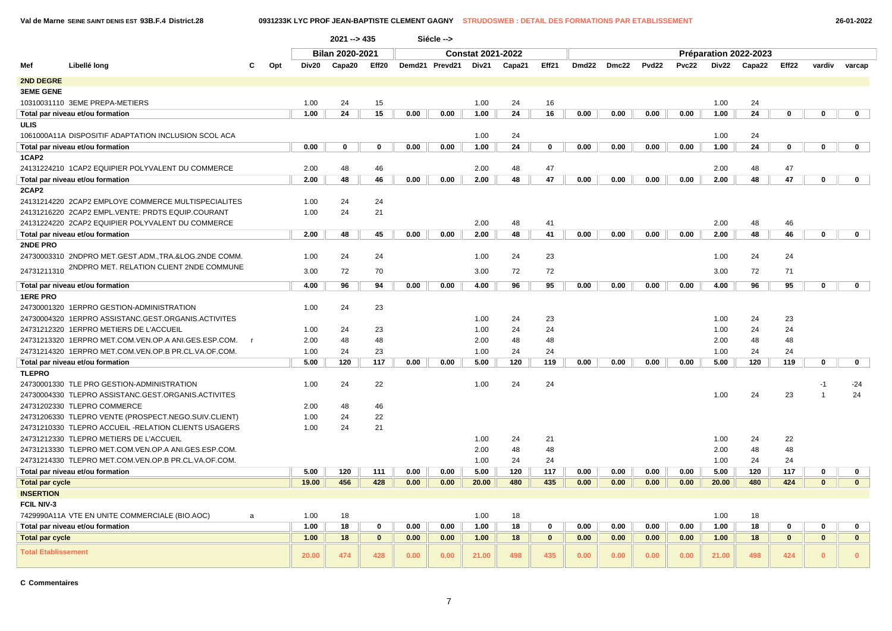**Val de Marne SEINE SAINT DENIS EST 93B.F.4 District.28 0931233K LYC PROF JEAN-BAPTISTE CLEMENT GAGNY STRUDOSWEB : DETAIL DES FORMATIONS PAR ETABLISSEMENT 26-01-2022**

|                            |                                                       |              |     |       | $2021 - 435$                             |             |      | Siécle --> |                          |        |              |                   |       |                   |              |       |                       |              |              |              |
|----------------------------|-------------------------------------------------------|--------------|-----|-------|------------------------------------------|-------------|------|------------|--------------------------|--------|--------------|-------------------|-------|-------------------|--------------|-------|-----------------------|--------------|--------------|--------------|
|                            |                                                       |              |     |       | <b>Bilan 2020-2021</b><br>Demd21 Prevd21 |             |      |            | <b>Constat 2021-2022</b> |        |              |                   |       |                   |              |       | Préparation 2022-2023 |              |              |              |
| Mef                        | Libellé long                                          |              | Opt | Div20 | Capa20<br>Eff20                          |             |      |            | Div21                    | Capa21 | Eff21        | Dmd <sub>22</sub> | Dmc22 | Pvd <sub>22</sub> | <b>Pvc22</b> | Div22 | Capa22                | Eff22        | vardiv       | varcap       |
| 2ND DEGRE                  |                                                       |              |     |       |                                          |             |      |            |                          |        |              |                   |       |                   |              |       |                       |              |              |              |
| <b>3EME GENE</b>           |                                                       |              |     |       |                                          |             |      |            |                          |        |              |                   |       |                   |              |       |                       |              |              |              |
|                            | 10310031110 3EME PREPA-METIERS                        |              |     | 1.00  | 24                                       | 15          |      |            | 1.00                     | 24     | 16           |                   |       |                   |              | 1.00  | 24                    |              |              |              |
|                            | Total par niveau et/ou formation                      |              |     | 1.00  | 24                                       | 15          | 0.00 | 0.00       | 1.00                     | 24     | 16           | 0.00              | 0.00  | 0.00              | 0.00         | 1.00  | 24                    | $\mathbf 0$  | $\mathbf 0$  | $\mathbf 0$  |
| <b>ULIS</b>                |                                                       |              |     |       |                                          |             |      |            |                          |        |              |                   |       |                   |              |       |                       |              |              |              |
|                            | 1061000A11A DISPOSITIF ADAPTATION INCLUSION SCOL ACA  |              |     |       |                                          |             |      |            | 1.00                     | 24     |              |                   |       |                   |              | 1.00  | 24                    |              |              |              |
|                            | Total par niveau et/ou formation                      |              |     | 0.00  | 0                                        | $\Omega$    | 0.00 | 0.00       | 1.00                     | 24     | 0            | 0.00              | 0.00  | 0.00              | 0.00         | 1.00  | 24                    | 0            | $\bf{0}$     | $\mathbf 0$  |
| 1CAP2                      |                                                       |              |     |       |                                          |             |      |            |                          |        |              |                   |       |                   |              |       |                       |              |              |              |
|                            | 24131224210 1CAP2 EQUIPIER POLYVALENT DU COMMERCE     |              |     | 2.00  | 48                                       | 46          |      |            | 2.00                     | 48     | 47           |                   |       |                   |              | 2.00  | 48                    | 47           |              |              |
|                            | Total par niveau et/ou formation                      |              |     | 2.00  | 48                                       | 46          | 0.00 | 0.00       | 2.00                     | 48     | 47           | 0.00              | 0.00  | 0.00              | 0.00         | 2.00  | 48                    | 47           | $\mathbf 0$  | $\mathbf 0$  |
| 2CAP2                      |                                                       |              |     |       |                                          |             |      |            |                          |        |              |                   |       |                   |              |       |                       |              |              |              |
|                            | 24131214220 2CAP2 EMPLOYE COMMERCE MULTISPECIALITES   |              |     | 1.00  | 24                                       | 24          |      |            |                          |        |              |                   |       |                   |              |       |                       |              |              |              |
|                            | 24131216220 2CAP2 EMPL.VENTE: PRDTS EQUIP.COURANT     |              |     | 1.00  | 24                                       | 21          |      |            |                          |        |              |                   |       |                   |              |       |                       |              |              |              |
|                            | 24131224220 2CAP2 EQUIPIER POLYVALENT DU COMMERCE     |              |     |       |                                          |             |      |            | 2.00                     | 48     | 41           |                   |       |                   |              | 2.00  | 48                    | 46           |              |              |
|                            | Total par niveau et/ou formation                      |              |     | 2.00  | 48                                       | 45          | 0.00 | 0.00       | 2.00                     | 48     | 41           | 0.00              | 0.00  | 0.00              | 0.00         | 2.00  | 48                    | 46           | 0            | $\mathbf 0$  |
| 2NDE PRO                   |                                                       |              |     |       |                                          |             |      |            |                          |        |              |                   |       |                   |              |       |                       |              |              |              |
|                            | 24730003310 2NDPRO MET.GEST.ADM., TRA.&LOG.2NDE COMM. |              |     | 1.00  | 24                                       | 24          |      |            | 1.00                     | 24     | 23           |                   |       |                   |              | 1.00  | 24                    | 24           |              |              |
| 24731211310                | 2NDPRO MET. RELATION CLIENT 2NDE COMMUNE              |              |     | 3.00  | 72                                       | 70          |      |            | 3.00                     | 72     | 72           |                   |       |                   |              | 3.00  | 72                    | 71           |              |              |
|                            | Total par niveau et/ou formation                      |              |     | 4.00  | 96                                       | 94          | 0.00 | 0.00       | 4.00                     | 96     | 95           | 0.00              | 0.00  | 0.00              | 0.00         | 4.00  | 96                    | 95           | $\mathbf 0$  | $\mathbf 0$  |
| <b>1ERE PRO</b>            |                                                       |              |     |       |                                          |             |      |            |                          |        |              |                   |       |                   |              |       |                       |              |              |              |
|                            | 24730001320 1ERPRO GESTION-ADMINISTRATION             |              |     | 1.00  | 24                                       | 23          |      |            |                          |        |              |                   |       |                   |              |       |                       |              |              |              |
|                            | 24730004320 1ERPRO ASSISTANC.GEST.ORGANIS.ACTIVITES   |              |     |       |                                          |             |      |            | 1.00                     | 24     | 23           |                   |       |                   |              | 1.00  | 24                    | 23           |              |              |
|                            | 24731212320 1ERPRO METIERS DE L'ACCUEIL               |              |     | 1.00  | 24                                       | 23          |      |            | 1.00                     | 24     | 24           |                   |       |                   |              | 1.00  | 24                    | 24           |              |              |
|                            | 24731213320 1ERPRO MET.COM.VEN.OP.A ANI.GES.ESP.COM.  | $\mathsf{r}$ |     | 2.00  | 48                                       | 48          |      |            | 2.00                     | 48     | 48           |                   |       |                   |              | 2.00  | 48                    | 48           |              |              |
|                            | 24731214320 1ERPRO MET.COM.VEN.OP.B PR.CL.VA.OF.COM.  |              |     | 1.00  | 24                                       | 23          |      |            | 1.00                     | 24     | 24           |                   |       |                   |              | 1.00  | 24                    | 24           |              |              |
|                            | Total par niveau et/ou formation                      |              |     | 5.00  | 120                                      | 117         | 0.00 | 0.00       | 5.00                     | 120    | 119          | 0.00              | 0.00  | 0.00              | 0.00         | 5.00  | 120                   | 119          | $\mathbf 0$  | 0            |
| <b>TLEPRO</b>              |                                                       |              |     |       |                                          |             |      |            |                          |        |              |                   |       |                   |              |       |                       |              |              |              |
|                            | 24730001330 TLE PRO GESTION-ADMINISTRATION            |              |     | 1.00  | 24                                       | 22          |      |            | 1.00                     | 24     | 24           |                   |       |                   |              |       |                       |              | $-1$         | $-24$        |
|                            | 24730004330 TLEPRO ASSISTANC.GEST.ORGANIS.ACTIVITES   |              |     |       |                                          |             |      |            |                          |        |              |                   |       |                   |              | 1.00  | 24                    | 23           |              | 24           |
|                            | 24731202330 TLEPRO COMMERCE                           |              |     | 2.00  | 48                                       | 46          |      |            |                          |        |              |                   |       |                   |              |       |                       |              |              |              |
|                            | 24731206330 TLEPRO VENTE (PROSPECT.NEGO.SUIV.CLIENT)  |              |     | 1.00  | 24                                       | 22          |      |            |                          |        |              |                   |       |                   |              |       |                       |              |              |              |
|                            | 24731210330 TLEPRO ACCUEIL -RELATION CLIENTS USAGERS  |              |     | 1.00  | 24                                       | 21          |      |            |                          |        |              |                   |       |                   |              |       |                       |              |              |              |
|                            | 24731212330 TLEPRO METIERS DE L'ACCUEIL               |              |     |       |                                          |             |      |            | 1.00                     | 24     | 21           |                   |       |                   |              | 1.00  | 24                    | 22           |              |              |
|                            | 24731213330 TLEPRO MET.COM.VEN.OP.A ANI.GES.ESP.COM.  |              |     |       |                                          |             |      |            | 2.00                     | 48     | 48           |                   |       |                   |              | 2.00  | 48                    | 48           |              |              |
|                            | 24731214330 TLEPRO MET.COM.VEN.OP.B PR.CL.VA.OF.COM.  |              |     |       |                                          |             |      |            | 1.00                     | 24     | 24           |                   |       |                   |              | 1.00  | 24                    | 24           |              |              |
|                            | Total par niveau et/ou formation                      |              |     | 5.00  | 120                                      | 111         | 0.00 | 0.00       | 5.00                     | 120    | 117          | 0.00              | 0.00  | 0.00              | 0.00         | 5.00  | 120                   | 117          | 0            | $\mathbf 0$  |
| <b>Total par cycle</b>     |                                                       |              |     | 19.00 | 456                                      | 428         | 0.00 | 0.00       | 20.00                    | 480    | 435          | 0.00              | 0.00  | 0.00              | 0.00         | 20.00 | 480                   | 424          | $\mathbf{0}$ | $\mathbf{0}$ |
| <b>INSERTION</b>           |                                                       |              |     |       |                                          |             |      |            |                          |        |              |                   |       |                   |              |       |                       |              |              |              |
| <b>FCIL NIV-3</b>          |                                                       |              |     |       |                                          |             |      |            |                          |        |              |                   |       |                   |              |       |                       |              |              |              |
|                            | 7429990A11A VTE EN UNITE COMMERCIALE (BIO.AOC)        | a            |     | 1.00  | 18                                       |             |      |            | 1.00                     | 18     |              |                   |       |                   |              | 1.00  | 18                    |              |              |              |
|                            | Total par niveau et/ou formation                      |              |     | 1.00  | 18                                       | 0           | 0.00 | 0.00       | 1.00                     | 18     | 0            | 0.00              | 0.00  | 0.00              | 0.00         | 1.00  | 18                    | 0            | 0            | 0            |
| <b>Total par cycle</b>     |                                                       |              |     | 1.00  | 18                                       | $\mathbf 0$ | 0.00 | 0.00       | 1.00                     | 18     | $\mathbf{0}$ | 0.00              | 0.00  | 0.00              | 0.00         | 1.00  | 18                    | $\mathbf{0}$ | $\mathbf{0}$ | $\mathbf{0}$ |
| <b>Total Etablissement</b> |                                                       |              |     | 20.00 | 474                                      | 428         | 0.00 | 0.00       | 21.00                    | 498    | 435          | 0.00              | 0.00  | 0.00              | 0.00         | 21.00 | 498                   | 424          | $\mathbf{0}$ | $\Omega$     |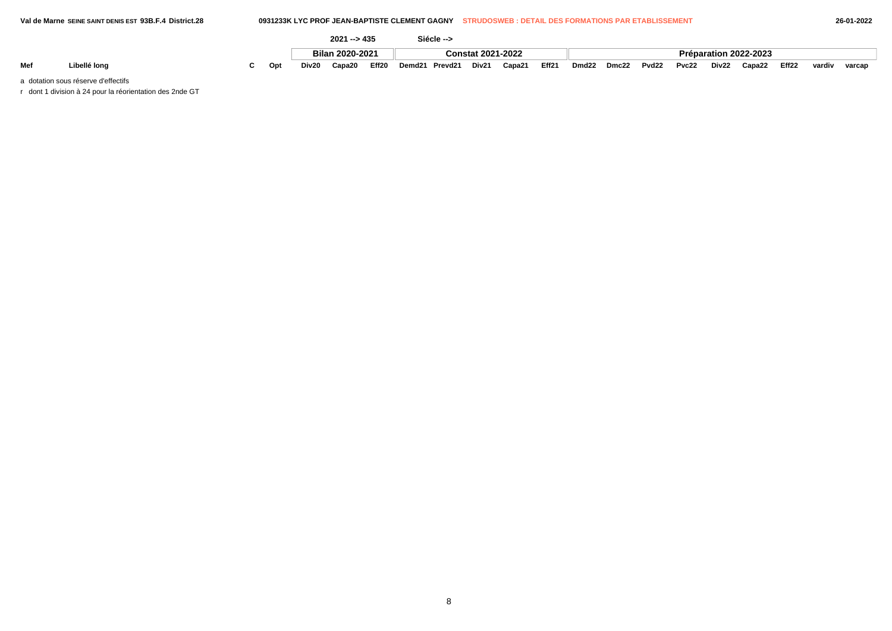|     |              |     |       | 2024<br>$1 - 543$ |       |                    | Siécle --> |                          |                    |       |                   |       |                   |       |       |                       |       |        |        |
|-----|--------------|-----|-------|-------------------|-------|--------------------|------------|--------------------------|--------------------|-------|-------------------|-------|-------------------|-------|-------|-----------------------|-------|--------|--------|
|     |              |     |       | Bilan 2020-2021   |       |                    |            | <b>Constat 2021-2022</b> |                    |       |                   |       |                   |       |       | Préparation 2022-2023 |       |        |        |
| Mef | Libellé long | Opt | Div20 | Capa20            | Eff20 | Demd <sub>21</sub> | Prevd21    | Div21                    | Capa2 <sup>-</sup> | Eff21 | Dmd <sub>22</sub> | Dmc22 | Pvd <sub>22</sub> | Pvc22 | Div22 | Capa22                | Eff22 | vardiv | varcar |

a dotation sous réserve d'effectifs

r dont 1 division à 24 pour la réorientation des 2nde GT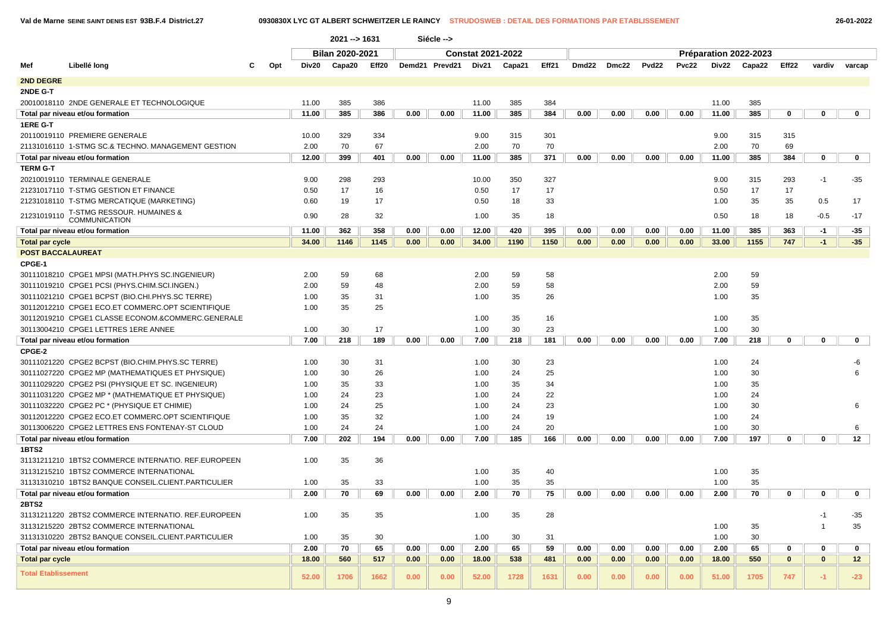| 26-01-202 |  |  |
|-----------|--|--|
|-----------|--|--|

|                            |                                                     |     |       | 2021 -- > 1631         |                |       | Siécle --> |                          |       |       |                   |       |      |              |       |                       |             |                |                 |
|----------------------------|-----------------------------------------------------|-----|-------|------------------------|----------------|-------|------------|--------------------------|-------|-------|-------------------|-------|------|--------------|-------|-----------------------|-------------|----------------|-----------------|
|                            |                                                     |     |       | <b>Bilan 2020-2021</b> |                |       |            | <b>Constat 2021-2022</b> |       |       |                   |       |      |              |       | Préparation 2022-2023 |             |                |                 |
| Mef                        | Libellé long                                        | Opt | Div20 | Capa20                 | Demd21 Prevd21 | Div21 | Capa21     | Eff21                    | Dmd22 | Dmc22 | Pvd <sub>22</sub> | Pvc22 |      | Div22 Capa22 | Eff22 | vardiv                | varcap      |                |                 |
| 2ND DEGRE                  |                                                     |     |       | Eff20                  |                |       |            |                          |       |       |                   |       |      |              |       |                       |             |                |                 |
| 2NDE G-T                   |                                                     |     |       |                        |                |       |            |                          |       |       |                   |       |      |              |       |                       |             |                |                 |
|                            |                                                     |     |       |                        |                |       |            | 11.00                    |       | 384   |                   |       |      |              |       | 385                   |             |                |                 |
|                            | 20010018110 2NDE GENERALE ET TECHNOLOGIQUE          |     | 11.00 | 385                    | 386            |       |            |                          | 385   |       |                   |       |      |              | 11.00 |                       |             |                |                 |
|                            | Total par niveau et/ou formation                    |     | 11.00 | 385                    | 386            | 0.00  | 0.00       | 11.00                    | 385   | 384   | 0.00              | 0.00  | 0.00 | 0.00         | 11.00 | 385                   | $\mathbf 0$ | $\mathbf 0$    | $\mathbf 0$     |
| 1ERE G-T                   |                                                     |     |       |                        |                |       |            |                          |       |       |                   |       |      |              |       |                       |             |                |                 |
|                            | 20110019110 PREMIERE GENERALE                       |     | 10.00 | 329                    | 334            |       |            | 9.00                     | 315   | 301   |                   |       |      |              | 9.00  | 315                   | 315         |                |                 |
|                            | 21131016110 1-STMG SC.& TECHNO. MANAGEMENT GESTION  |     | 2.00  | 70                     | 67             |       |            | 2.00                     | 70    | 70    |                   |       |      |              | 2.00  | 70                    | 69          |                |                 |
|                            | Total par niveau et/ou formation                    |     | 12.00 | 399                    | 401            | 0.00  | 0.00       | 11.00                    | 385   | 371   | 0.00              | 0.00  | 0.00 | 0.00         | 11.00 | 385                   | 384         | $\mathbf 0$    | $\mathbf 0$     |
| <b>TERM G-T</b>            |                                                     |     |       |                        |                |       |            |                          |       |       |                   |       |      |              |       |                       |             |                |                 |
|                            | 20210019110 TERMINALE GENERALE                      |     | 9.00  | 298                    | 293            |       |            | 10.00                    | 350   | 327   |                   |       |      |              | 9.00  | 315                   | 293         | $-1$           | $-35$           |
|                            | 21231017110 T-STMG GESTION ET FINANCE               |     | 0.50  | 17                     | 16             |       |            | 0.50                     | 17    | 17    |                   |       |      |              | 0.50  | 17                    | 17          |                |                 |
|                            | 21231018110 T-STMG MERCATIQUE (MARKETING)           |     | 0.60  | 19                     | 17             |       |            | 0.50                     | 18    | 33    |                   |       |      |              | 1.00  | 35                    | 35          | 0.5            | 17              |
| 21231019110                | T-STMG RESSOUR. HUMAINES &<br><b>COMMUNICATION</b>  |     | 0.90  | 28                     | 32             |       |            | 1.00                     | 35    | 18    |                   |       |      |              | 0.50  | 18                    | 18          | $-0.5$         | $-17$           |
|                            | Total par niveau et/ou formation                    |     | 11.00 | 362                    | 358            | 0.00  | 0.00       | 12.00                    | 420   | 395   | 0.00              | 0.00  | 0.00 | 0.00         | 11.00 | 385                   | 363         | $-1$           | $-35$           |
| <b>Total par cycle</b>     |                                                     |     | 34.00 | 1146                   | 1145           | 0.00  | 0.00       | 34.00                    | 1190  | 1150  | 0.00              | 0.00  | 0.00 | 0.00         | 33.00 | 1155                  | 747         | $-1$           | $-35$           |
| <b>POST BACCALAUREAT</b>   |                                                     |     |       |                        |                |       |            |                          |       |       |                   |       |      |              |       |                       |             |                |                 |
| CPGE-1                     |                                                     |     |       |                        |                |       |            |                          |       |       |                   |       |      |              |       |                       |             |                |                 |
|                            | 30111018210 CPGE1 MPSI (MATH.PHYS SC.INGENIEUR)     |     | 2.00  | 59                     | 68             |       |            | 2.00                     | 59    | 58    |                   |       |      |              | 2.00  | 59                    |             |                |                 |
|                            | 30111019210 CPGE1 PCSI (PHYS.CHIM.SCI.INGEN.)       |     | 2.00  | 59                     | 48             |       |            | 2.00                     | 59    | 58    |                   |       |      |              | 2.00  | 59                    |             |                |                 |
|                            | 30111021210 CPGE1 BCPST (BIO.CHI.PHYS.SC TERRE)     |     | 1.00  | 35                     | 31             |       |            | 1.00                     | 35    | 26    |                   |       |      |              | 1.00  | 35                    |             |                |                 |
|                            | 30112012210 CPGE1 ECO.ET COMMERC.OPT SCIENTIFIQUE   |     | 1.00  | 35                     | 25             |       |            |                          |       |       |                   |       |      |              |       |                       |             |                |                 |
|                            | 30112019210 CPGE1 CLASSE ECONOM.&COMMERC.GENERALE   |     |       |                        |                |       |            | 1.00                     | 35    | 16    |                   |       |      |              | 1.00  | 35                    |             |                |                 |
|                            | 30113004210 CPGE1 LETTRES 1ERE ANNEE                |     | 1.00  | 30                     | 17             |       |            | 1.00                     | 30    | 23    |                   |       |      |              | 1.00  | 30                    |             |                |                 |
|                            | Total par niveau et/ou formation                    |     | 7.00  | 218                    | 189            | 0.00  | 0.00       | 7.00                     | 218   | 181   | 0.00              | 0.00  | 0.00 | 0.00         | 7.00  | 218                   | 0           | $\mathbf 0$    | $\mathbf 0$     |
| CPGE-2                     |                                                     |     |       |                        |                |       |            |                          |       |       |                   |       |      |              |       |                       |             |                |                 |
|                            | 30111021220 CPGE2 BCPST (BIO.CHIM.PHYS.SC TERRE)    |     | 1.00  | 30                     | 31             |       |            | 1.00                     | 30    | 23    |                   |       |      |              | 1.00  | 24                    |             |                | -6              |
|                            | 30111027220 CPGE2 MP (MATHEMATIQUES ET PHYSIQUE)    |     | 1.00  | 30                     | 26             |       |            | 1.00                     | 24    | 25    |                   |       |      |              | 1.00  | 30                    |             |                | 6               |
|                            | 30111029220 CPGE2 PSI (PHYSIQUE ET SC. INGENIEUR)   |     | 1.00  | 35                     | 33             |       |            | 1.00                     | 35    | 34    |                   |       |      |              | 1.00  | 35                    |             |                |                 |
|                            | 30111031220 CPGE2 MP * (MATHEMATIQUE ET PHYSIQUE)   |     | 1.00  | 24                     | 23             |       |            | 1.00                     | 24    | 22    |                   |       |      |              | 1.00  | 24                    |             |                |                 |
|                            | 30111032220 CPGE2 PC * (PHYSIQUE ET CHIMIE)         |     | 1.00  | 24                     | 25             |       |            | 1.00                     | 24    | 23    |                   |       |      |              | 1.00  | 30                    |             |                | 6               |
|                            | 30112012220 CPGE2 ECO.ET COMMERC.OPT SCIENTIFIQUE   |     | 1.00  | 35                     | 32             |       |            | 1.00                     | 24    | 19    |                   |       |      |              | 1.00  | 24                    |             |                |                 |
|                            | 30113006220 CPGE2 LETTRES ENS FONTENAY-ST CLOUD     |     | 1.00  | 24                     | 24             |       |            | 1.00                     | 24    | 20    |                   |       |      |              | 1.00  | 30                    |             |                | 6               |
|                            | Total par niveau et/ou formation                    |     | 7.00  | 202                    | 194            | 0.00  | 0.00       | 7.00                     | 185   | 166   | 0.00              | 0.00  | 0.00 | 0.00         | 7.00  | 197                   | $\mathbf 0$ | $\mathbf 0$    | 12              |
| 1BTS2                      |                                                     |     |       |                        |                |       |            |                          |       |       |                   |       |      |              |       |                       |             |                |                 |
|                            | 31131211210 1BTS2 COMMERCE INTERNATIO. REF.EUROPEEN |     | 1.00  | 35                     | 36             |       |            |                          |       |       |                   |       |      |              |       |                       |             |                |                 |
|                            | 31131215210 1BTS2 COMMERCE INTERNATIONAL            |     |       |                        |                |       |            | 1.00                     | 35    | 40    |                   |       |      |              | 1.00  | 35                    |             |                |                 |
|                            | 31131310210 1BTS2 BANQUE CONSEIL.CLIENT.PARTICULIER |     | 1.00  | 35                     | 33             |       |            | 1.00                     | 35    | 35    |                   |       |      |              | 1.00  | 35                    |             |                |                 |
|                            | Total par niveau et/ou formation                    |     | 2.00  | 70                     | 69             | 0.00  | 0.00       | 2.00                     | 70    | 75    | 0.00              | 0.00  | 0.00 | 0.00         | 2.00  | 70                    | 0           | $\mathbf 0$    | $\mathbf 0$     |
| 2BTS2                      |                                                     |     |       |                        |                |       |            |                          |       |       |                   |       |      |              |       |                       |             |                |                 |
|                            | 31131211220 2BTS2 COMMERCE INTERNATIO. REF.EUROPEEN |     | 1.00  | 35                     | 35             |       |            | 1.00                     | 35    | 28    |                   |       |      |              |       |                       |             | $-1$           | $-35$           |
|                            | 31131215220 2BTS2 COMMERCE INTERNATIONAL            |     |       |                        |                |       |            |                          |       |       |                   |       |      |              | 1.00  | 35                    |             | $\overline{1}$ | 35              |
|                            | 31131310220 2BTS2 BANQUE CONSEIL.CLIENT.PARTICULIER |     | 1.00  | 35                     | 30             |       |            | 1.00                     | 30    | 31    |                   |       |      |              | 1.00  | 30                    |             |                |                 |
|                            | Total par niveau et/ou formation                    |     | 2.00  | 70                     | 65             | 0.00  | 0.00       | 2.00                     | 65    | 59    | 0.00              | 0.00  | 0.00 | 0.00         | 2.00  | 65                    | $\mathbf 0$ | $\mathbf 0$    | 0               |
| <b>Total par cycle</b>     |                                                     |     | 18.00 | 560                    | 517            | 0.00  | 0.00       | 18.00                    | 538   | 481   | 0.00              | 0.00  | 0.00 | 0.00         | 18.00 | 550                   | $\bf{0}$    | $\mathbf{0}$   | 12 <sub>2</sub> |
|                            |                                                     |     |       |                        |                |       |            |                          |       |       |                   |       |      |              |       |                       |             |                |                 |
| <b>Total Etablissement</b> |                                                     |     | 52.00 | 1706                   | 1662           | 0.00  | 0.00       | 52.00                    | 1728  | 1631  | 0.00              | 0.00  | 0.00 | 0.00         | 51.00 | 1705                  | 747         | $-1$           | $-23$           |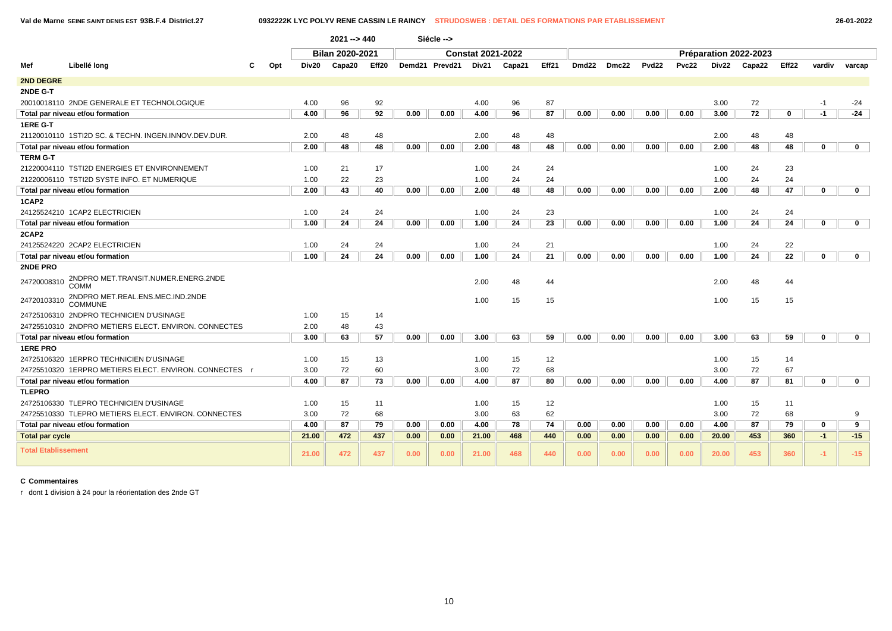**Val de Marne SEINE SAINT DENIS EST 93B.F.4 District.27 0932222K LYC POLYV RENE CASSIN LE RAINCY STRUDOSWEB : DETAIL DES FORMATIONS PAR ETABLISSEMENT 26-01-2022**

|                            |                                                         |       | $2021 - > 440$         |       |      | Siécle -->     |                          |        |       |                   |       |              |       |       |                       |                 |             |              |
|----------------------------|---------------------------------------------------------|-------|------------------------|-------|------|----------------|--------------------------|--------|-------|-------------------|-------|--------------|-------|-------|-----------------------|-----------------|-------------|--------------|
|                            |                                                         |       | <b>Bilan 2020-2021</b> |       |      |                | <b>Constat 2021-2022</b> |        |       |                   |       |              |       |       | Préparation 2022-2023 |                 |             |              |
| Mef                        | Libellé long<br>Opt                                     | Div20 | Capa20                 | Eff20 |      | Demd21 Prevd21 | Div21                    | Capa21 | Eff21 | Dmd <sub>22</sub> | Dmc22 | <b>Pvd22</b> | Pvc22 | Div22 | Capa22                | Eff22           | vardiv      | varcap       |
| <b>2ND DEGRE</b>           |                                                         |       |                        |       |      |                |                          |        |       |                   |       |              |       |       |                       |                 |             |              |
| 2NDE G-T                   |                                                         |       |                        |       |      |                |                          |        |       |                   |       |              |       |       |                       |                 |             |              |
|                            | 20010018110 2NDE GENERALE ET TECHNOLOGIQUE              | 4.00  | 96                     | 92    |      |                | 4.00                     | 96     | 87    |                   |       |              |       | 3.00  | 72                    |                 | $-1$        | $-24$        |
|                            | Total par niveau et/ou formation                        | 4.00  | 96                     | 92    | 0.00 | 0.00           | 4.00                     | 96     | 87    | 0.00              | 0.00  | 0.00         | 0.00  | 3.00  | 72                    | 0               | $-1$        | $-24$        |
| 1ERE G-T                   |                                                         |       |                        |       |      |                |                          |        |       |                   |       |              |       |       |                       |                 |             |              |
|                            | 21120010110 1STI2D SC, & TECHN, INGEN, INNOV, DEV, DUR, | 2.00  | 48                     | 48    |      |                | 2.00                     | 48     | 48    |                   |       |              |       | 2.00  | 48                    | 48              |             |              |
|                            | Total par niveau et/ou formation                        | 2.00  | 48                     | 48    | 0.00 | 0.00           | 2.00                     | 48     | 48    | 0.00              | 0.00  | 0.00         | 0.00  | 2.00  | 48                    | 48              | $\Omega$    | $\mathbf 0$  |
| <b>TERM G-T</b>            |                                                         |       |                        |       |      |                |                          |        |       |                   |       |              |       |       |                       |                 |             |              |
|                            | 21220004110 TSTI2D ENERGIES ET ENVIRONNEMENT            | 1.00  | 21                     | 17    |      |                | 1.00                     | 24     | 24    |                   |       |              |       | 1.00  | 24                    | 23              |             |              |
|                            | 21220006110 TSTI2D SYSTE INFO. ET NUMERIQUE             | 1.00  | 22                     | 23    |      |                | 1.00                     | 24     | 24    |                   |       |              |       | 1.00  | 24                    | 24              |             |              |
|                            | Total par niveau et/ou formation                        | 2.00  | 43                     | 40    | 0.00 | 0.00           | 2.00                     | 48     | 48    | 0.00              | 0.00  | 0.00         | 0.00  | 2.00  | 48                    | 47              | $\mathbf 0$ | $\mathbf 0$  |
| 1CAP2                      |                                                         |       |                        |       |      |                |                          |        |       |                   |       |              |       |       |                       |                 |             |              |
|                            | 24125524210 1CAP2 ELECTRICIEN                           | 1.00  | 24                     | 24    |      |                | 1.00                     | 24     | 23    |                   |       |              |       | 1.00  | 24                    | 24              |             |              |
|                            | Total par niveau et/ou formation                        | 1.00  | 24                     | 24    | 0.00 | 0.00           | 1.00                     | 24     | 23    | 0.00              | 0.00  | 0.00         | 0.00  | 1.00  | 24                    | 24              | $\mathbf 0$ | $\mathbf{0}$ |
| 2CAP2                      |                                                         |       |                        |       |      |                |                          |        |       |                   |       |              |       |       |                       |                 |             |              |
|                            | 24125524220 2CAP2 ELECTRICIEN                           | 1.00  | 24                     | 24    |      |                | 1.00                     | 24     | 21    |                   |       |              |       | 1.00  | 24                    | 22              |             |              |
|                            | Total par niveau et/ou formation                        | 1.00  | 24                     | 24    | 0.00 | 0.00           | 1.00                     | 24     | 21    | 0.00              | 0.00  | 0.00         | 0.00  | 1.00  | 24                    | $\overline{22}$ | $\mathbf 0$ | $\mathbf 0$  |
| 2NDE PRO                   |                                                         |       |                        |       |      |                |                          |        |       |                   |       |              |       |       |                       |                 |             |              |
| 24720008310                | 2NDPRO MET.TRANSIT.NUMER.ENERG.2NDE<br>COMM             |       |                        |       |      |                | 2.00                     | 48     | 44    |                   |       |              |       | 2.00  | 48                    | 44              |             |              |
| 24720103310                | 2NDPRO MET.REAL.ENS.MEC.IND.2NDE<br><b>COMMUNE</b>      |       |                        |       |      |                | 1.00                     | 15     | 15    |                   |       |              |       | 1.00  | 15                    | 15              |             |              |
|                            | 24725106310 2NDPRO TECHNICIEN D'USINAGE                 | 1.00  | 15                     | 14    |      |                |                          |        |       |                   |       |              |       |       |                       |                 |             |              |
|                            | 24725510310 2NDPRO METIERS ELECT. ENVIRON, CONNECTES    | 2.00  | 48                     | 43    |      |                |                          |        |       |                   |       |              |       |       |                       |                 |             |              |
|                            | Total par niveau et/ou formation                        | 3.00  | 63                     | 57    | 0.00 | 0.00           | 3.00                     | 63     | 59    | 0.00              | 0.00  | 0.00         | 0.00  | 3.00  | 63                    | 59              | $\mathbf 0$ | $\mathbf 0$  |
| <b>1ERE PRO</b>            |                                                         |       |                        |       |      |                |                          |        |       |                   |       |              |       |       |                       |                 |             |              |
|                            | 24725106320 1ERPRO TECHNICIEN D'USINAGE                 | 1.00  | 15                     | 13    |      |                | 1.00                     | 15     | 12    |                   |       |              |       | 1.00  | 15                    | 14              |             |              |
|                            | 24725510320 1ERPRO METIERS ELECT. ENVIRON. CONNECTES r  | 3.00  | 72                     | 60    |      |                | 3.00                     | 72     | 68    |                   |       |              |       | 3.00  | 72                    | 67              |             |              |
|                            | Total par niveau et/ou formation                        | 4.00  | 87                     | 73    | 0.00 | 0.00           | 4.00                     | 87     | 80    | 0.00              | 0.00  | 0.00         | 0.00  | 4.00  | 87                    | 81              | $\mathbf 0$ | $\mathbf{0}$ |
| <b>TLEPRO</b>              |                                                         |       |                        |       |      |                |                          |        |       |                   |       |              |       |       |                       |                 |             |              |
|                            | 24725106330 TLEPRO TECHNICIEN D'USINAGE                 | 1.00  | 15                     | 11    |      |                | 1.00                     | 15     | 12    |                   |       |              |       | 1.00  | 15                    | 11              |             |              |
|                            | 24725510330 TLEPRO METIERS ELECT. ENVIRON. CONNECTES    | 3.00  | 72                     | 68    |      |                | 3.00                     | 63     | 62    |                   |       |              |       | 3.00  | 72                    | 68              |             | 9            |
|                            | Total par niveau et/ou formation                        | 4.00  | 87                     | 79    | 0.00 | 0.00           | 4.00                     | 78     | 74    | 0.00              | 0.00  | 0.00         | 0.00  | 4.00  | 87                    | 79              | 0           | 9            |
| <b>Total par cycle</b>     |                                                         | 21.00 | 472                    | 437   | 0.00 | 0.00           | 21.00                    | 468    | 440   | 0.00              | 0.00  | 0.00         | 0.00  | 20.00 | 453                   | 360             | $-1$        | $-15$        |
| <b>Total Etablissement</b> |                                                         | 21.00 | 472                    | 437   | 0.00 | 0.00           | 21.00                    | 468    | 440   | 0.00              | 0.00  | 0.00         | 0.00  | 20.00 | 453                   | 360             | $-1$        | $-15$        |

# **C Commentaires**

r dont 1 division à 24 pour la réorientation des 2nde GT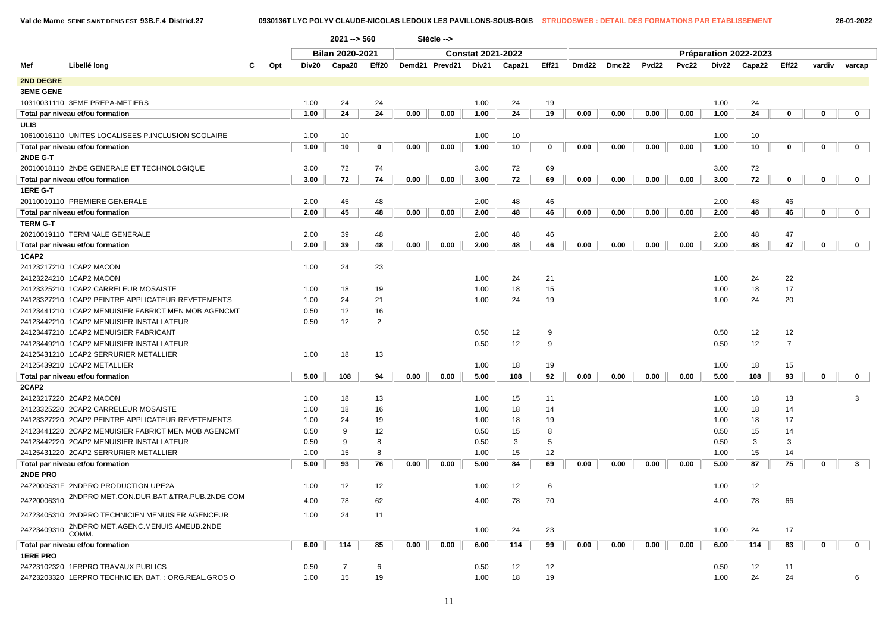|                  |                                                     |              |        | $2021 - 560$           |                |                | Siécle --> |                          |       |       |       |       |       |       |        |                       |                |        |                |  |
|------------------|-----------------------------------------------------|--------------|--------|------------------------|----------------|----------------|------------|--------------------------|-------|-------|-------|-------|-------|-------|--------|-----------------------|----------------|--------|----------------|--|
|                  |                                                     |              |        | <b>Bilan 2020-2021</b> |                |                |            | <b>Constat 2021-2022</b> |       |       |       |       |       |       |        | Préparation 2022-2023 |                |        |                |  |
| Mef              | Libellé long                                        | Opt<br>Div20 | Capa20 | Eff20                  |                | Demd21 Prevd21 | Div21      | Capa21                   | Eff21 | Dmd22 | Dmc22 | Pvd22 | Pvc22 | Div22 | Capa22 | Eff22                 | vardiv         | varcap |                |  |
| 2ND DEGRE        |                                                     |              |        |                        |                |                |            |                          |       |       |       |       |       |       |        |                       |                |        |                |  |
| <b>3EME GENE</b> |                                                     |              |        |                        |                |                |            |                          |       |       |       |       |       |       |        |                       |                |        |                |  |
|                  | 10310031110 3EME PREPA-METIERS                      |              | 1.00   | 24                     | 24             |                |            | 1.00                     | 24    | 19    |       |       |       |       | 1.00   | 24                    |                |        |                |  |
|                  | Total par niveau et/ou formation                    |              | 1.00   | 24                     | 24             | 0.00           | 0.00       | 1.00                     | 24    | 19    | 0.00  | 0.00  | 0.00  | 0.00  | 1.00   | 24                    | 0              | 0      | $\mathbf 0$    |  |
| <b>ULIS</b>      |                                                     |              |        |                        |                |                |            |                          |       |       |       |       |       |       |        |                       |                |        |                |  |
|                  | 10610016110 UNITES LOCALISEES P.INCLUSION SCOLAIRE  |              | 1.00   | 10                     |                |                |            | 1.00                     | 10    |       |       |       |       |       | 1.00   | 10                    |                |        |                |  |
|                  | Total par niveau et/ou formation                    |              | 1.00   | 10                     | 0              | 0.00           | 0.00       | 1.00                     | 10    | 0     | 0.00  | 0.00  | 0.00  | 0.00  | 1.00   | 10                    | 0              | 0      | $\mathbf 0$    |  |
| 2NDE G-T         |                                                     |              |        |                        |                |                |            |                          |       |       |       |       |       |       |        |                       |                |        |                |  |
|                  | 20010018110 2NDE GENERALE ET TECHNOLOGIQUE          |              | 3.00   | 72                     | 74             |                |            | 3.00                     | 72    | 69    |       |       |       |       | 3.00   | 72                    |                |        |                |  |
|                  | Total par niveau et/ou formation                    |              | 3.00   | 72                     | 74             | 0.00           | 0.00       | 3.00                     | 72    | 69    | 0.00  | 0.00  | 0.00  | 0.00  | 3.00   | 72                    | 0              | 0      | $\mathbf 0$    |  |
| 1ERE G-T         |                                                     |              |        |                        |                |                |            |                          |       |       |       |       |       |       |        |                       |                |        |                |  |
|                  | 20110019110 PREMIERE GENERALE                       |              | 2.00   | 45                     | 48             |                |            | 2.00                     | 48    | 46    |       |       |       |       | 2.00   | 48                    | 46             |        |                |  |
|                  | Total par niveau et/ou formation                    |              | 2.00   | 45                     | 48             | 0.00           | 0.00       | 2.00                     | 48    | 46    | 0.00  | 0.00  | 0.00  | 0.00  | 2.00   | 48                    | 46             | 0      | $\mathbf 0$    |  |
| <b>TERM G-T</b>  |                                                     |              |        |                        |                |                |            |                          |       |       |       |       |       |       |        |                       |                |        |                |  |
|                  | 20210019110 TERMINALE GENERALE                      |              | 2.00   | 39                     | 48             |                |            | 2.00                     | 48    | 46    |       |       |       |       | 2.00   | 48                    | 47             |        |                |  |
|                  | Total par niveau et/ou formation                    |              | 2.00   | 39                     | 48             | 0.00           | 0.00       | 2.00                     | 48    | 46    | 0.00  | 0.00  | 0.00  | 0.00  | 2.00   | 48                    | 47             | 0      | $\mathbf 0$    |  |
| 1CAP2            |                                                     |              |        |                        |                |                |            |                          |       |       |       |       |       |       |        |                       |                |        |                |  |
|                  | 24123217210 1CAP2 MACON                             |              | 1.00   | 24                     | 23             |                |            |                          |       |       |       |       |       |       |        |                       |                |        |                |  |
|                  | 24123224210 1CAP2 MACON                             |              |        |                        |                |                |            | 1.00                     | 24    | 21    |       |       |       |       | 1.00   | 24                    | 22             |        |                |  |
|                  | 24123325210 1CAP2 CARRELEUR MOSAISTE                |              | 1.00   | 18                     | 19             |                |            | 1.00                     | 18    | 15    |       |       |       |       | 1.00   | 18                    | 17             |        |                |  |
|                  | 24123327210 1CAP2 PEINTRE APPLICATEUR REVETEMENTS   |              | 1.00   | 24                     | 21             |                |            | 1.00                     | 24    | 19    |       |       |       |       | 1.00   | 24                    | 20             |        |                |  |
|                  | 24123441210 1CAP2 MENUISIER FABRICT MEN MOB AGENCMT |              | 0.50   | 12                     | 16             |                |            |                          |       |       |       |       |       |       |        |                       |                |        |                |  |
|                  | 24123442210 1CAP2 MENUISIER INSTALLATEUR            |              | 0.50   | 12                     | $\overline{2}$ |                |            |                          |       |       |       |       |       |       |        |                       |                |        |                |  |
|                  | 24123447210 1CAP2 MENUISIER FABRICANT               |              |        |                        |                |                |            | 0.50                     | 12    | 9     |       |       |       |       | 0.50   | 12                    | 12             |        |                |  |
|                  | 24123449210 1CAP2 MENUISIER INSTALLATEUR            |              |        |                        |                |                |            | 0.50                     | 12    | 9     |       |       |       |       | 0.50   | 12                    | $\overline{7}$ |        |                |  |
|                  | 24125431210 1CAP2 SERRURIER METALLIER               |              | 1.00   | 18                     | 13             |                |            |                          |       |       |       |       |       |       |        |                       |                |        |                |  |
|                  | 24125439210 1CAP2 METALLIER                         |              |        |                        |                |                |            | 1.00                     | 18    | 19    |       |       |       |       | 1.00   | 18                    | 15             |        |                |  |
|                  | Total par niveau et/ou formation                    |              | 5.00   | 108                    | 94             | 0.00           | 0.00       | 5.00                     | 108   | 92    | 0.00  | 0.00  | 0.00  | 0.00  | 5.00   | 108                   | 93             | 0      | $\mathbf 0$    |  |
| 2CAP2            |                                                     |              |        |                        |                |                |            |                          |       |       |       |       |       |       |        |                       |                |        |                |  |
|                  | 24123217220 2CAP2 MACON                             |              | 1.00   | 18                     | 13             |                |            | 1.00                     | 15    | 11    |       |       |       |       | 1.00   | 18                    | 13             |        | 3              |  |
|                  | 24123325220 2CAP2 CARRELEUR MOSAISTE                |              | 1.00   | 18                     | 16             |                |            | 1.00                     | 18    | 14    |       |       |       |       | 1.00   | 18                    | 14             |        |                |  |
|                  | 24123327220 2CAP2 PEINTRE APPLICATEUR REVETEMENTS   |              | 1.00   | 24                     | 19             |                |            | 1.00                     | 18    | 19    |       |       |       |       | 1.00   | 18                    | 17             |        |                |  |
|                  | 24123441220 2CAP2 MENUISIER FABRICT MEN MOB AGENCMT |              | 0.50   | 9                      | 12             |                |            | 0.50                     | 15    | 8     |       |       |       |       | 0.50   | 15                    | 14             |        |                |  |
|                  | 24123442220 2CAP2 MENUISIER INSTALLATEUR            |              | 0.50   | 9                      | 8              |                |            | 0.50                     | 3     | 5     |       |       |       |       | 0.50   | 3                     | 3              |        |                |  |
|                  | 24125431220 2CAP2 SERRURIER METALLIER               |              | 1.00   | 15                     | 8              |                |            | 1.00                     | 15    | 12    |       |       |       |       | 1.00   | 15                    | 14             |        |                |  |
|                  | Total par niveau et/ou formation                    |              | 5.00   | 93                     | 76             | 0.00           | 0.00       | 5.00                     | 84    | 69    | 0.00  | 0.00  | 0.00  | 0.00  | 5.00   | 87                    | 75             | 0      | 3 <sup>1</sup> |  |
| 2NDE PRO         |                                                     |              |        |                        |                |                |            |                          |       |       |       |       |       |       |        |                       |                |        |                |  |
|                  | 2472000531F 2NDPRO PRODUCTION UPE2A                 |              | 1.00   | 12                     | 12             |                |            | 1.00                     | 12    | 6     |       |       |       |       | 1.00   | 12                    |                |        |                |  |
| 24720006310      | 2NDPRO MET.CON.DUR.BAT.&TRA.PUB.2NDE COM            |              | 4.00   | 78                     | 62             |                |            | 4.00                     | 78    | 70    |       |       |       |       | 4.00   | 78                    | 66             |        |                |  |
|                  | 24723405310 2NDPRO TECHNICIEN MENUISIER AGENCEUR    |              | 1.00   | 24                     | 11             |                |            |                          |       |       |       |       |       |       |        |                       |                |        |                |  |
| 24723409310      | 2NDPRO MET.AGENC.MENUIS.AMEUB.2NDE<br>COMM.         |              |        |                        |                |                |            | 1.00                     | 24    | 23    |       |       |       |       | 1.00   | 24                    | 17             |        |                |  |
|                  | Total par niveau et/ou formation                    |              | 6.00   | 114                    | 85             | 0.00           | 0.00       | 6.00                     | 114   | 99    | 0.00  | 0.00  | 0.00  | 0.00  | 6.00   | 114                   | 83             | 0      | $\mathbf 0$    |  |
| <b>1ERE PRO</b>  |                                                     |              |        |                        |                |                |            |                          |       |       |       |       |       |       |        |                       |                |        |                |  |
|                  | 24723102320 1ERPRO TRAVAUX PUBLICS                  |              | 0.50   | $\overline{7}$         | 6              |                |            | 0.50                     | 12    | 12    |       |       |       |       | 0.50   | 12                    | 11             |        |                |  |
|                  | 24723203320 1ERPRO TECHNICIEN BAT.: ORG.REAL.GROS O |              | 1.00   | 15                     | 19             |                |            | 1.00                     | 18    | 19    |       |       |       |       | 1.00   | 24                    | 24             |        | 6              |  |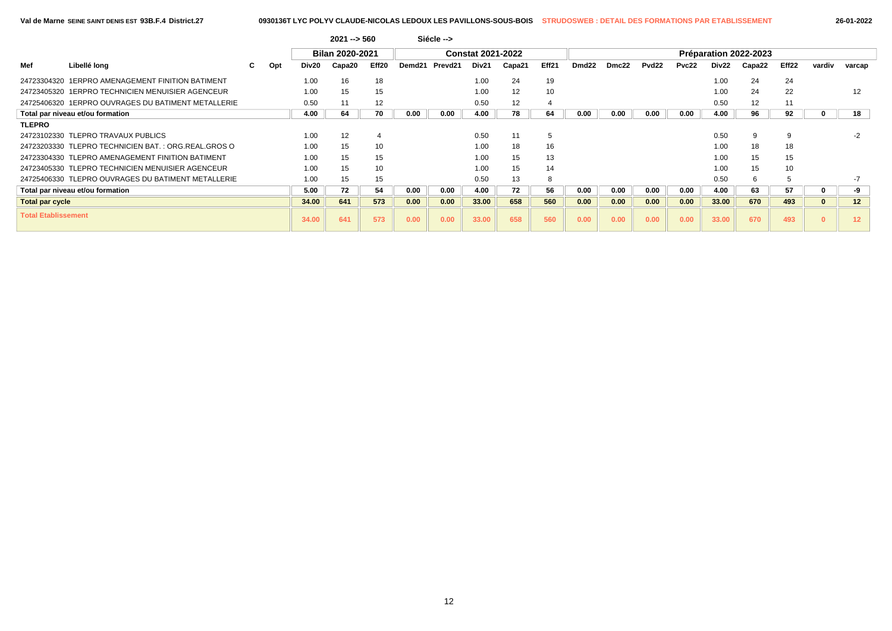|  |  | 26-01-202 |  |  |
|--|--|-----------|--|--|
|  |  |           |  |  |

|                            |                                                     |     |       | $2021 - 560$           |       |        | Siécle -->          |                          |        |       |                   |       |                   |       |       |                       |       |        |                 |
|----------------------------|-----------------------------------------------------|-----|-------|------------------------|-------|--------|---------------------|--------------------------|--------|-------|-------------------|-------|-------------------|-------|-------|-----------------------|-------|--------|-----------------|
|                            |                                                     |     |       | <b>Bilan 2020-2021</b> |       |        |                     | <b>Constat 2021-2022</b> |        |       |                   |       |                   |       |       | Préparation 2022-2023 |       |        |                 |
| Mef                        | Libellé long                                        | Opt | Div20 | Capa20                 | Eff20 | Demd21 | Prevd <sub>21</sub> | Div21                    | Capa21 | Eff21 | Dmd <sub>22</sub> | Dmc22 | Pvd <sub>22</sub> | Pvc22 | Div22 | Capa22                | Eff22 | vardiv | varcap          |
|                            | 24723304320 1ERPRO AMENAGEMENT FINITION BATIMENT    |     | 1.00  | 16                     | 18    |        |                     | 1.00                     | 24     | 19    |                   |       |                   |       | 1.00  | 24                    | 24    |        |                 |
|                            | 24723405320 1ERPRO TECHNICIEN MENUISIER AGENCEUR    |     | 1.00  | 15                     | 15    |        |                     | 1.00                     | 12     | 10    |                   |       |                   |       | 1.00  | 24                    | 22    |        | 12              |
|                            | 24725406320 1ERPRO OUVRAGES DU BATIMENT METALLERIE  |     | 0.50  | 11                     | 12    |        |                     | 0.50                     | 12     |       |                   |       |                   |       | 0.50  | 12                    |       |        |                 |
|                            | Total par niveau et/ou formation                    |     | 4.00  | 64                     | 70    | 0.00   | 0.00                | 4.00                     | 78     | 64    | 0.00              | 0.00  | 0.00              | 0.00  | 4.00  | 96                    | 92    |        | 18              |
| <b>TLEPRO</b>              |                                                     |     |       |                        |       |        |                     |                          |        |       |                   |       |                   |       |       |                       |       |        |                 |
|                            | 24723102330 TLEPRO TRAVAUX PUBLICS                  |     | 1.00  | 12                     |       |        |                     | 0.50                     | 11     | .5    |                   |       |                   |       | 0.50  | 9                     |       |        |                 |
|                            | 24723203330 TLEPRO TECHNICIEN BAT.: ORG.REAL.GROS O |     | 1.00  | 15                     | 10    |        |                     | 1.00                     | 18     | 16    |                   |       |                   |       | 1.00  | 18                    | 18    |        |                 |
|                            | 24723304330 TLEPRO AMENAGEMENT FINITION BATIMENT    |     | 1.00  | 15                     | 15    |        |                     | 1.00                     | 15     | 13    |                   |       |                   |       | 1.00  | 15                    | 15    |        |                 |
|                            | 24723405330 TLEPRO TECHNICIEN MENUISIER AGENCEUR    |     | 1.00  | 15                     | 10    |        |                     | 1.00                     | 15     | 14    |                   |       |                   |       | 1.00  | 15                    | 10    |        |                 |
|                            | 24725406330 TLEPRO OUVRAGES DU BATIMENT METALLERIE  |     | 1.00  | 15                     | 15    |        |                     | 0.50                     | 13     | 8     |                   |       |                   |       | 0.50  | 6                     |       |        |                 |
|                            | Total par niveau et/ou formation                    |     | 5.00  | 72                     | 54    | 0.00   | 0.00                | 4.00                     | 72     | 56    | 0.00              | 0.00  | 0.00              | 0.00  | 4.00  | 63                    | 57    |        | -9              |
| <b>Total par cycle</b>     |                                                     |     | 34.00 | 641                    | 573   | 0.00   | 0.00                | 33.00                    | 658    | 560   | 0.00              | 0.00  | 0.00              | 0.00  | 33.00 | 670                   | 493   |        | 12 <sup>2</sup> |
| <b>Total Etablissement</b> |                                                     |     | 34.00 | 641                    | 573   | 0.00   | 0.00                | 33.00                    | 658    | 560   | 0.00              | 0.00  | 0.00              | 0.00  | 33.00 | 670                   | 493   |        |                 |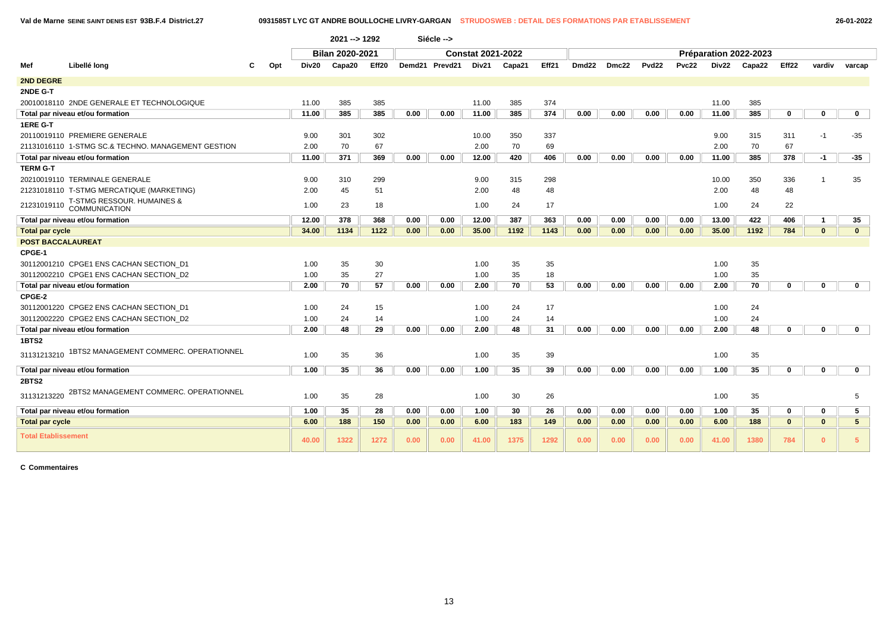**Val de Marne SEINE SAINT DENIS EST 93B.F.4 District.27 0931585T LYC GT ANDRE BOULLOCHE LIVRY-GARGAN STRUDOSWEB : DETAIL DES FORMATIONS PAR ETABLISSEMENT 26-01-2022**

|                            |                                                    |     |       | $2021 - 1292$   |       |      | Siécle -->     |                          |        |       |                   |       |              |       |       |                       |                   |                |                 |  |
|----------------------------|----------------------------------------------------|-----|-------|-----------------|-------|------|----------------|--------------------------|--------|-------|-------------------|-------|--------------|-------|-------|-----------------------|-------------------|----------------|-----------------|--|
|                            |                                                    |     |       | Bilan 2020-2021 |       |      |                | <b>Constat 2021-2022</b> |        |       |                   |       |              |       |       | Préparation 2022-2023 |                   |                |                 |  |
| Mef                        | Libellé long                                       | Opt | Div20 | Capa20          | Eff20 |      | Demd21 Prevd21 | Div21                    | Capa21 | Eff21 | Dmd <sub>22</sub> | Dmc22 | <b>Pvd22</b> | Pvc22 | Div22 | Capa22                | Eff <sub>22</sub> | vardiv         | varcap          |  |
| 2ND DEGRE                  |                                                    |     |       |                 |       |      |                |                          |        |       |                   |       |              |       |       |                       |                   |                |                 |  |
| 2NDE G-T                   |                                                    |     |       |                 |       |      |                |                          |        |       |                   |       |              |       |       |                       |                   |                |                 |  |
|                            | 20010018110 2NDE GENERALE ET TECHNOLOGIQUE         |     | 11.00 | 385             | 385   |      |                | 11.00                    | 385    | 374   |                   |       |              |       | 11.00 | 385                   |                   |                |                 |  |
|                            | Total par niveau et/ou formation                   |     | 11.00 | 385             | 385   | 0.00 | 0.00           | 11.00                    | 385    | 374   | 0.00              | 0.00  | 0.00         | 0.00  | 11.00 | 385                   | $\mathbf 0$       | $\mathbf 0$    | $\mathbf 0$     |  |
| <b>1ERE G-T</b>            |                                                    |     |       |                 |       |      |                |                          |        |       |                   |       |              |       |       |                       |                   |                |                 |  |
|                            | 20110019110 PREMIERE GENERALE                      |     | 9.00  | 301             | 302   |      |                | 10.00                    | 350    | 337   |                   |       |              |       | 9.00  | 315                   | 311               | $-1$           | $-35$           |  |
|                            | 21131016110 1-STMG SC.& TECHNO. MANAGEMENT GESTION |     | 2.00  | 70              | 67    |      |                | 2.00                     | 70     | 69    |                   |       |              |       | 2.00  | 70                    | 67                |                |                 |  |
|                            | Total par niveau et/ou formation                   |     | 11.00 | 371             | 369   | 0.00 | 0.00           | 12.00                    | 420    | 406   | 0.00              | 0.00  | 0.00         | 0.00  | 11.00 | 385                   | 378               | $-1$           | $-35$           |  |
| <b>TERM G-T</b>            |                                                    |     |       |                 |       |      |                |                          |        |       |                   |       |              |       |       |                       |                   |                |                 |  |
|                            | 20210019110 TERMINALE GENERALE                     |     | 9.00  | 310             | 299   |      |                | 9.00                     | 315    | 298   |                   |       |              |       | 10.00 | 350                   | 336               |                | 35              |  |
|                            | 21231018110 T-STMG MERCATIQUE (MARKETING)          |     | 2.00  | 45              | 51    |      |                | 2.00                     | 48     | 48    |                   |       |              |       | 2.00  | 48                    | 48                |                |                 |  |
| 21231019110                | T-STMG RESSOUR. HUMAINES &<br>COMMUNICATION        |     | 1.00  | 23              | 18    |      |                | 1.00                     | 24     | 17    |                   |       |              |       | 1.00  | 24                    | 22                |                |                 |  |
|                            | Total par niveau et/ou formation                   |     | 12.00 | 378             | 368   | 0.00 | 0.00           | 12.00                    | 387    | 363   | 0.00              | 0.00  | 0.00         | 0.00  | 13.00 | 422                   | 406               | $\overline{1}$ | 35              |  |
| <b>Total par cycle</b>     |                                                    |     | 34.00 | 1134            | 1122  | 0.00 | 0.00           | 35.00                    | 1192   | 1143  | 0.00              | 0.00  | 0.00         | 0.00  | 35.00 | 1192                  | 784               | $\mathbf{0}$   | $\mathbf{0}$    |  |
| <b>POST BACCALAUREAT</b>   |                                                    |     |       |                 |       |      |                |                          |        |       |                   |       |              |       |       |                       |                   |                |                 |  |
| CPGE-1                     |                                                    |     |       |                 |       |      |                |                          |        |       |                   |       |              |       |       |                       |                   |                |                 |  |
|                            | 30112001210 CPGE1 ENS CACHAN SECTION D1            |     | 1.00  | 35              | 30    |      |                | 1.00                     | 35     | 35    |                   |       |              |       | 1.00  | 35                    |                   |                |                 |  |
|                            | 30112002210 CPGE1 ENS CACHAN SECTION D2            |     | 1.00  | 35              | 27    |      |                | 1.00                     | 35     | 18    |                   |       |              |       | 1.00  | 35                    |                   |                |                 |  |
|                            | Total par niveau et/ou formation                   |     | 2.00  | 70              | 57    | 0.00 | 0.00           | 2.00                     | 70     | 53    | 0.00              | 0.00  | 0.00         | 0.00  | 2.00  | 70                    | $\mathbf 0$       | $\mathbf{0}$   | $\mathbf 0$     |  |
| CPGE-2                     |                                                    |     |       |                 |       |      |                |                          |        |       |                   |       |              |       |       |                       |                   |                |                 |  |
|                            | 30112001220 CPGE2 ENS CACHAN SECTION D1            |     | 1.00  | 24              | 15    |      |                | 1.00                     | 24     | 17    |                   |       |              |       | 1.00  | 24                    |                   |                |                 |  |
|                            | 30112002220 CPGE2 ENS CACHAN SECTION D2            |     | 1.00  | 24              | 14    |      |                | 1.00                     | 24     | 14    |                   |       |              |       | 1.00  | 24                    |                   |                |                 |  |
|                            | Total par niveau et/ou formation                   |     | 2.00  | 48              | 29    | 0.00 | 0.00           | 2.00                     | 48     | 31    | 0.00              | 0.00  | 0.00         | 0.00  | 2.00  | 48                    | $\mathbf 0$       | 0              | $\mathbf 0$     |  |
| 1BTS2                      |                                                    |     |       |                 |       |      |                |                          |        |       |                   |       |              |       |       |                       |                   |                |                 |  |
| 31131213210                | 1BTS2 MANAGEMENT COMMERC. OPERATIONNEL             |     | 1.00  | 35              | 36    |      |                | 1.00                     | 35     | 39    |                   |       |              |       | 1.00  | 35                    |                   |                |                 |  |
|                            | Total par niveau et/ou formation                   |     | 1.00  | 35              | 36    | 0.00 | 0.00           | 1.00                     | 35     | 39    | 0.00              | 0.00  | 0.00         | 0.00  | 1.00  | 35                    | $\mathbf{0}$      | $\mathbf 0$    | $\mathbf 0$     |  |
| <b>2BTS2</b>               |                                                    |     |       |                 |       |      |                |                          |        |       |                   |       |              |       |       |                       |                   |                |                 |  |
| 31131213220                | 2BTS2 MANAGEMENT COMMERC. OPERATIONNEL             |     | 1.00  | 35              | 28    |      |                | 1.00                     | 30     | 26    |                   |       |              |       | 1.00  | 35                    |                   |                | 5               |  |
|                            | Total par niveau et/ou formation                   |     | 1.00  | 35              | 28    | 0.00 | 0.00           | 1.00                     | 30     | 26    | 0.00              | 0.00  | 0.00         | 0.00  | 1.00  | 35                    | 0                 | $\mathbf 0$    | 5               |  |
| <b>Total par cycle</b>     |                                                    |     | 6.00  | 188             | 150   | 0.00 | 0.00           | 6.00                     | 183    | 149   | 0.00              | 0.00  | 0.00         | 0.00  | 6.00  | 188                   | $\mathbf{0}$      | $\mathbf{0}$   | $5\phantom{.0}$ |  |
| <b>Total Etablissement</b> |                                                    |     | 40.00 | 1322            | 1272  | 0.00 | 0.00           | 41.00                    | 1375   | 1292  | 0.00              | 0.00  | 0.00         | 0.00  | 41.00 | 1380                  | 784               | $\mathbf{0}$   | $5\phantom{.0}$ |  |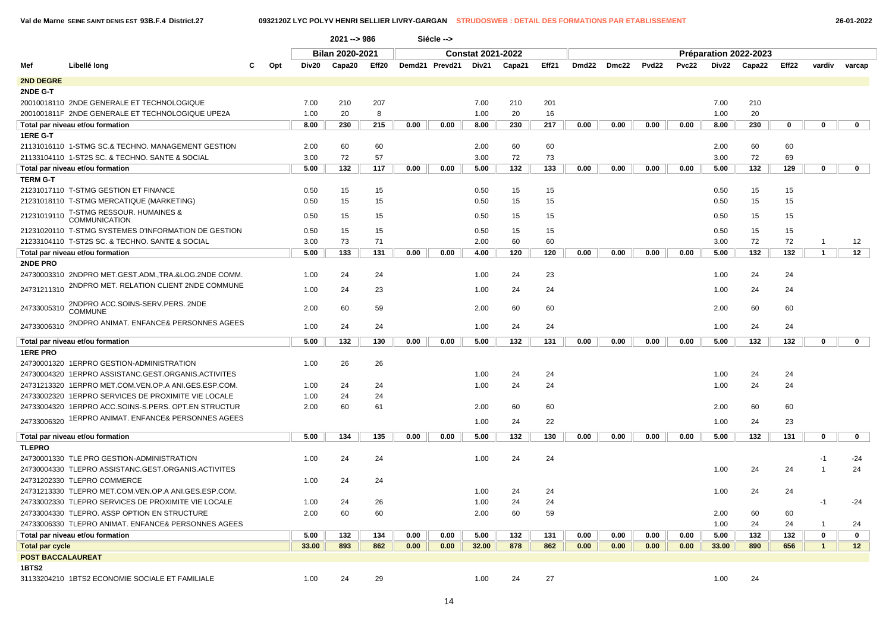### **Val de Marne SEINE SAINT DENIS EST 93B.F.4 District.27 0932120Z LYC POLYV HENRI SELLIER LIVRY-GARGAN STRUDOSWEB : DETAIL DES FORMATIONS PAR ETABLISSEMENT 26-01-2022**

|                        |                                                       |     |      |                                                                                                                                          |            |      | Siécle --> |                          |        |       |       |       |       |              |       |                       |       |              |             |
|------------------------|-------------------------------------------------------|-----|------|------------------------------------------------------------------------------------------------------------------------------------------|------------|------|------------|--------------------------|--------|-------|-------|-------|-------|--------------|-------|-----------------------|-------|--------------|-------------|
|                        |                                                       |     |      | 2021 -- > 986<br><b>Bilan 2020-2021</b>                                                                                                  |            |      |            | <b>Constat 2021-2022</b> |        |       |       |       |       |              |       | Préparation 2022-2023 |       |              |             |
| Mef                    | Libellé long                                          | Opt |      | Eff20<br>Div20<br>Capa20                                                                                                                 |            |      |            | Div21                    | Capa21 | Eff21 | Dmd22 | Dmc22 | Pvd22 | <b>Pvc22</b> | Div22 | Capa22                | Eff22 | vardiv       | varcap      |
| <b>2ND DEGRE</b>       |                                                       |     |      |                                                                                                                                          |            |      |            |                          |        |       |       |       |       |              |       |                       |       |              |             |
| 2NDE G-T               |                                                       |     |      |                                                                                                                                          |            |      |            |                          |        |       |       |       |       |              |       |                       |       |              |             |
|                        | 20010018110 2NDE GENERALE ET TECHNOLOGIQUE            |     |      | 7.00<br>210<br>207<br>20<br>8<br>1.00<br>8.00<br>230<br>215<br>0.00                                                                      |            |      |            | 7.00                     | 210    | 201   |       |       |       |              | 7.00  | 210                   |       |              |             |
|                        | 2001001811F 2NDE GENERALE ET TECHNOLOGIQUE UPE2A      |     |      |                                                                                                                                          |            |      | 1.00       | 20                       | 16     |       |       |       |       | 1.00         | 20    |                       |       |              |             |
|                        | Total par niveau et/ou formation                      |     |      |                                                                                                                                          |            |      | 0.00       | 8.00                     | 230    | 217   | 0.00  | 0.00  | 0.00  | 0.00         | 8.00  | 230                   | 0     | 0            | $\mathbf 0$ |
| 1ERE G-T               |                                                       |     |      | 60<br>60                                                                                                                                 |            |      |            |                          |        |       |       |       |       |              |       |                       |       |              |             |
|                        | 21131016110 1-STMG SC.& TECHNO. MANAGEMENT GESTION    |     | 2.00 | 72<br>57                                                                                                                                 |            |      |            | 2.00                     | 60     | 60    |       |       |       |              | 2.00  | 60                    | 60    |              |             |
|                        | 21133104110 1-ST2S SC. & TECHNO. SANTE & SOCIAL       |     | 3.00 | 132<br>117<br>0.00                                                                                                                       |            |      |            | 3.00                     | 72     | 73    |       |       |       |              | 3.00  | 72                    | 69    |              |             |
|                        | Total par niveau et/ou formation                      |     |      |                                                                                                                                          |            |      | 0.00       | 5.00                     | 132    | 133   | 0.00  | 0.00  | 0.00  | 0.00         | 5.00  | 132                   | 129   | 0            | $\mathbf 0$ |
| <b>TERM G-T</b>        |                                                       |     |      | 5.00<br>0.50<br>15<br>15                                                                                                                 |            |      |            |                          |        |       |       |       |       |              |       |                       |       |              |             |
|                        | 21231017110 T-STMG GESTION ET FINANCE                 |     |      |                                                                                                                                          |            |      |            | 0.50                     | 15     | 15    |       |       |       |              | 0.50  | 15                    | 15    |              |             |
|                        | 21231018110 T-STMG MERCATIQUE (MARKETING)             |     | 0.50 |                                                                                                                                          |            |      |            | 0.50                     | 15     | 15    |       |       |       |              | 0.50  | 15                    | 15    |              |             |
|                        |                                                       |     |      |                                                                                                                                          |            |      |            |                          |        |       |       |       |       |              |       |                       |       |              |             |
| 21231019110            | T-STMG RESSOUR. HUMAINES &<br><b>COMMUNICATION</b>    |     | 0.50 | 15<br>15<br>15<br>15<br>15<br>15                                                                                                         |            |      |            | 0.50                     | 15     | 15    |       |       |       |              | 0.50  | 15                    | 15    |              |             |
|                        | 21231020110 T-STMG SYSTEMES D'INFORMATION DE GESTION  |     | 0.50 |                                                                                                                                          |            |      |            | 0.50                     | 15     | 15    |       |       |       |              | 0.50  | 15                    | 15    |              |             |
|                        | 21233104110 T-ST2S SC. & TECHNO. SANTE & SOCIAL       |     | 3.00 |                                                                                                                                          | 71         |      |            | 2.00                     | 60     | 60    |       |       |       |              | 3.00  | 72                    | 72    | 1            | 12          |
|                        | Total par niveau et/ou formation                      |     | 5.00 | Demd21 Prevd21<br>73<br>133<br>131<br>0.00<br>24<br>24<br>24<br>23<br>60<br>59<br>24<br>24<br>132<br>130<br>0.00<br>26<br>26<br>24<br>24 |            |      | 0.00       | 4.00                     | 120    | 120   | 0.00  | 0.00  | 0.00  | 0.00         | 5.00  | 132                   | 132   | $\mathbf{1}$ | 12          |
| 2NDE PRO               |                                                       |     |      |                                                                                                                                          |            |      |            |                          |        |       |       |       |       |              |       |                       |       |              |             |
|                        | 24730003310 2NDPRO MET.GEST.ADM., TRA.&LOG.2NDE COMM. |     | 1.00 |                                                                                                                                          |            |      |            | 1.00                     | 24     | 23    |       |       |       |              | 1.00  | 24                    | 24    |              |             |
|                        | 2NDPRO MET. RELATION CLIENT 2NDE COMMUNE              |     |      |                                                                                                                                          |            |      |            |                          |        |       |       |       |       |              |       |                       |       |              |             |
| 24731211310            |                                                       |     | 1.00 |                                                                                                                                          |            |      |            | 1.00                     | 24     | 24    |       |       |       |              | 1.00  | 24                    | 24    |              |             |
| 24733005310            | 2NDPRO ACC.SOINS-SERV.PERS. 2NDE<br><b>COMMUNE</b>    |     | 2.00 |                                                                                                                                          |            |      |            | 2.00                     | 60     | 60    |       |       |       |              | 2.00  | 60                    | 60    |              |             |
| 24733006310            | 2NDPRO ANIMAT. ENFANCE& PERSONNES AGEES               |     | 1.00 |                                                                                                                                          |            |      |            | 1.00                     | 24     | 24    |       |       |       |              | 1.00  | 24                    | 24    |              |             |
|                        | Total par niveau et/ou formation                      |     | 5.00 |                                                                                                                                          |            |      | 0.00       | 5.00                     | 132    | 131   | 0.00  | 0.00  | 0.00  | 0.00         | 5.00  | 132                   | 132   | 0            | $\mathbf 0$ |
| <b>1ERE PRO</b>        |                                                       |     |      |                                                                                                                                          |            |      |            |                          |        |       |       |       |       |              |       |                       |       |              |             |
|                        | 24730001320 1ERPRO GESTION-ADMINISTRATION             |     | 1.00 |                                                                                                                                          |            |      |            |                          |        |       |       |       |       |              |       |                       |       |              |             |
|                        | 24730004320 1ERPRO ASSISTANC.GEST.ORGANIS.ACTIVITES   |     |      |                                                                                                                                          |            |      |            | 1.00                     | 24     | 24    |       |       |       |              | 1.00  | 24                    | 24    |              |             |
|                        | 24731213320 1ERPRO MET.COM.VEN.OP.A ANI.GES.ESP.COM.  |     | 1.00 |                                                                                                                                          |            |      |            | 1.00                     | 24     | 24    |       |       |       |              | 1.00  | 24                    | 24    |              |             |
|                        | 24733002320 1ERPRO SERVICES DE PROXIMITE VIE LOCALE   |     | 1.00 | 24                                                                                                                                       | 24         |      |            |                          |        |       |       |       |       |              |       |                       |       |              |             |
|                        | 24733004320 1ERPRO ACC.SOINS-S.PERS. OPT.EN STRUCTUR  |     | 2.00 | 60                                                                                                                                       | 61         |      |            | 2.00                     | 60     | 60    |       |       |       |              | 2.00  | 60                    | 60    |              |             |
| 24733006320            | 1ERPRO ANIMAT. ENFANCE& PERSONNES AGEES               |     |      |                                                                                                                                          |            |      |            | 1.00                     | 24     | 22    |       |       |       |              | 1.00  | 24                    | 23    |              |             |
|                        |                                                       |     |      |                                                                                                                                          |            |      |            |                          |        |       |       |       |       |              |       |                       |       |              |             |
|                        | Total par niveau et/ou formation                      |     | 5.00 | 134                                                                                                                                      | 135        | 0.00 | 0.00       | 5.00                     | 132    | 130   | 0.00  | 0.00  | 0.00  | 0.00         | 5.00  | 132                   | 131   | 0            | $\mathbf 0$ |
| <b>TLEPRO</b>          |                                                       |     |      |                                                                                                                                          |            |      |            |                          |        |       |       |       |       |              |       |                       |       |              |             |
|                        | 24730001330 TLE PRO GESTION-ADMINISTRATION            |     | 1.00 | 24                                                                                                                                       | 24         |      |            | 1.00                     | 24     | 24    |       |       |       |              |       |                       |       | $-1$         | $-24$       |
|                        | 24730004330 TLEPRO ASSISTANC.GEST.ORGANIS.ACTIVITES   |     |      |                                                                                                                                          |            |      |            |                          |        |       |       |       |       |              | 1.00  | 24                    | 24    | 1            | 24          |
|                        | 24731202330 TLEPRO COMMERCE                           |     | 1.00 | 24                                                                                                                                       | 24         |      |            |                          |        |       |       |       |       |              |       |                       |       |              |             |
|                        | 24731213330 TLEPRO MET.COM.VEN.OP.A ANI.GES.ESP.COM.  |     |      |                                                                                                                                          |            |      |            | 1.00                     | 24     | 24    |       |       |       |              | 1.00  | 24                    | 24    |              |             |
|                        | 24733002330 TLEPRO SERVICES DE PROXIMITE VIE LOCALE   |     | 1.00 | 24                                                                                                                                       | 26         |      |            | 1.00                     | 24     | 24    |       |       |       |              |       |                       |       | $-1$         | $-24$       |
|                        | 24733004330 TLEPRO. ASSP OPTION EN STRUCTURE          |     | 2.00 | 60                                                                                                                                       | 60         |      |            | 2.00                     | 60     | 59    |       |       |       |              | 2.00  | 60                    | 60    |              |             |
|                        | 24733006330 TLEPRO ANIMAT. ENFANCE& PERSONNES AGEES   |     |      |                                                                                                                                          |            |      |            |                          |        |       |       |       |       |              | 1.00  | 24                    | 24    | $\mathbf{1}$ | 24          |
|                        | Total par niveau et/ou formation                      |     |      | 132<br>134<br>5.00<br>0.00                                                                                                               |            |      | 0.00       | 5.00                     | 132    | 131   | 0.00  | 0.00  | 0.00  | 0.00         | 5.00  | 132                   | 132   | 0            | $\mathbf 0$ |
| <b>Total par cycle</b> |                                                       |     |      | 33.00<br>893<br>862                                                                                                                      |            |      | 0.00       | 32.00                    | 878    | 862   | 0.00  | 0.00  | 0.00  | 0.00         | 33.00 | 890                   | 656   | $\mathbf{1}$ | 12          |
| POST BACCALAUREAT      |                                                       |     |      |                                                                                                                                          |            |      |            |                          |        |       |       |       |       |              |       |                       |       |              |             |
| 1BTS2                  |                                                       |     |      |                                                                                                                                          |            |      |            |                          |        |       |       |       |       |              |       |                       |       |              |             |
|                        | 31133204210 1BTS2 ECONOMIE SOCIALE ET FAMILIALE       |     | 1.00 | 24                                                                                                                                       | 0.00<br>29 |      |            | 1.00                     | 24     | 27    |       |       |       |              | 1.00  | 24                    |       |              |             |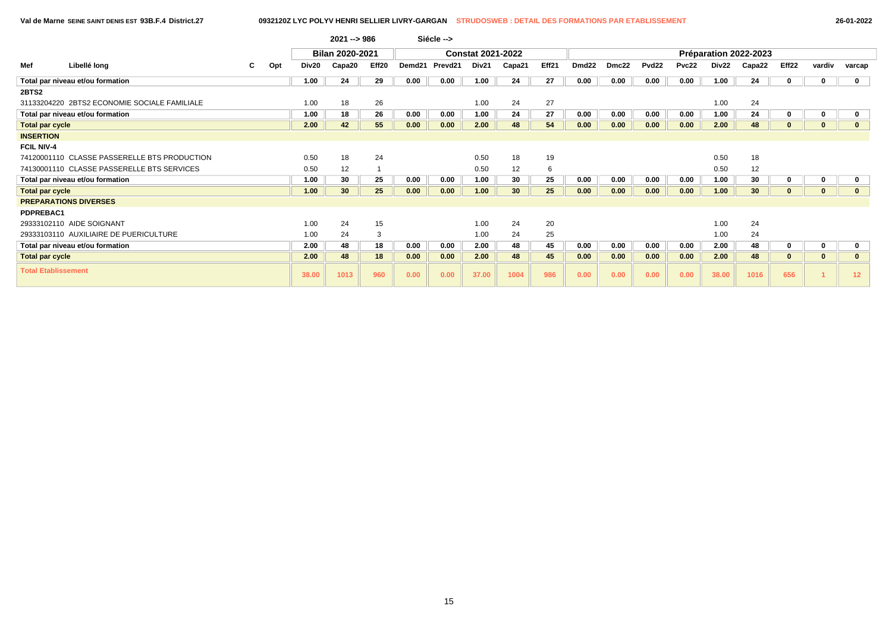| 26-01-202 |
|-----------|
|-----------|

|                            |                                              |    |     |       | $2021 - 986$    |       |        | Siécle --> |                          |                 |       |                   |       |                   |              |       |                       |              |          |                   |
|----------------------------|----------------------------------------------|----|-----|-------|-----------------|-------|--------|------------|--------------------------|-----------------|-------|-------------------|-------|-------------------|--------------|-------|-----------------------|--------------|----------|-------------------|
|                            |                                              |    |     |       | Bilan 2020-2021 |       |        |            | <b>Constat 2021-2022</b> |                 |       |                   |       |                   |              |       | Préparation 2022-2023 |              |          |                   |
| Mef                        | Libellé long                                 | C. | Opt | Div20 | Capa20          | Eff20 | Demd21 | Prevd21    | Div21                    | Capa21          | Eff21 | Dmd <sub>22</sub> | Dmc22 | Pvd <sub>22</sub> | <b>Pvc22</b> | Div22 | Capa22                | Eff22        | vardiv   | varcap            |
|                            | Total par niveau et/ou formation             |    |     | 1.00  | 24              | 29    | 0.00   | 0.00       | 1.00                     | 24              | 27    | 0.00              | 0.00  | 0.00              | 0.00         | 1.00  | 24                    | $\mathbf{0}$ | 0        | $\mathbf 0$       |
| 2BTS2                      |                                              |    |     |       |                 |       |        |            |                          |                 |       |                   |       |                   |              |       |                       |              |          |                   |
|                            | 31133204220 2BTS2 ECONOMIE SOCIALE FAMILIALE |    |     | 1.00  | 18              | 26    |        |            | 1.00                     | 24              | 27    |                   |       |                   |              | 1.00  | 24                    |              |          |                   |
|                            | Total par niveau et/ou formation             |    |     | 1.00  | 18              | 26    | 0.00   | 0.00       | 1.00                     | 24              | 27    | 0.00              | 0.00  | 0.00              | 0.00         | 1.00  | 24                    | $\mathbf{0}$ | $\bf{0}$ |                   |
| <b>Total par cycle</b>     |                                              |    |     | 2.00  | 42              | 55    | 0.00   | 0.00       | 2.00                     | 48              | 54    | 0.00              | 0.00  | 0.00              | 0.00         | 2.00  | 48                    | $\mathbf{0}$ | $\bf{0}$ |                   |
| <b>INSERTION</b>           |                                              |    |     |       |                 |       |        |            |                          |                 |       |                   |       |                   |              |       |                       |              |          |                   |
| <b>FCIL NIV-4</b>          |                                              |    |     |       |                 |       |        |            |                          |                 |       |                   |       |                   |              |       |                       |              |          |                   |
|                            | 74120001110 CLASSE PASSERELLE BTS PRODUCTION |    |     | 0.50  | 18              | 24    |        |            | 0.50                     | 18              | 19    |                   |       |                   |              | 0.50  | 18                    |              |          |                   |
|                            | 74130001110 CLASSE PASSERELLE BTS SERVICES   |    |     | 0.50  | 12              |       |        |            | 0.50                     | 12              | 6     |                   |       |                   |              | 0.50  | 12                    |              |          |                   |
|                            | Total par niveau et/ou formation             |    |     | 1.00  | 30              | 25    | 0.00   | 0.00       | 1.00                     | 30              | 25    | 0.00              | 0.00  | 0.00              | 0.00         | 1.00  | 30                    | $\mathbf{0}$ | $\bf{0}$ |                   |
| <b>Total par cycle</b>     |                                              |    |     | 1.00  | 30 <sup>°</sup> | 25    | 0.00   | 0.00       | 1.00                     | 30 <sup>°</sup> | 25    | 0.00              | 0.00  | 0.00              | 0.00         | 1.00  | 30 <sup>°</sup>       | $\bf{0}$     | $\bf{0}$ |                   |
|                            | <b>PREPARATIONS DIVERSES</b>                 |    |     |       |                 |       |        |            |                          |                 |       |                   |       |                   |              |       |                       |              |          |                   |
| PDPREBAC1                  |                                              |    |     |       |                 |       |        |            |                          |                 |       |                   |       |                   |              |       |                       |              |          |                   |
|                            | 29333102110 AIDE SOIGNANT                    |    |     | 1.00  | 24              | 15    |        |            | 1.00                     | 24              | 20    |                   |       |                   |              | 1.00  | 24                    |              |          |                   |
|                            | 29333103110 AUXILIAIRE DE PUERICULTURE       |    |     | 1.00  | 24              | 3     |        |            | 1.00                     | 24              | 25    |                   |       |                   |              | 1.00  | 24                    |              |          |                   |
|                            | Total par niveau et/ou formation             |    |     | 2.00  | 48              | 18    | 0.00   | 0.00       | 2.00                     | 48              | 45    | 0.00              | 0.00  | 0.00              | 0.00         | 2.00  | 48                    | $\mathbf{0}$ | 0        |                   |
| <b>Total par cycle</b>     |                                              |    |     | 2.00  | 48              | 18    | 0.00   | 0.00       | 2.00                     | 48              | 45    | 0.00              | 0.00  | 0.00              | 0.00         | 2.00  | 48                    | $\mathbf{0}$ | $\bf{0}$ |                   |
| <b>Total Etablissement</b> |                                              |    |     | 38.00 | 1013            | 960   | 0.00   | 0.00       | 37.00                    | 1004            | 986   | 0.00              | 0.00  | 0.00              | 0.00         | 38.00 | 1016                  | 656          |          | $12 \overline{ }$ |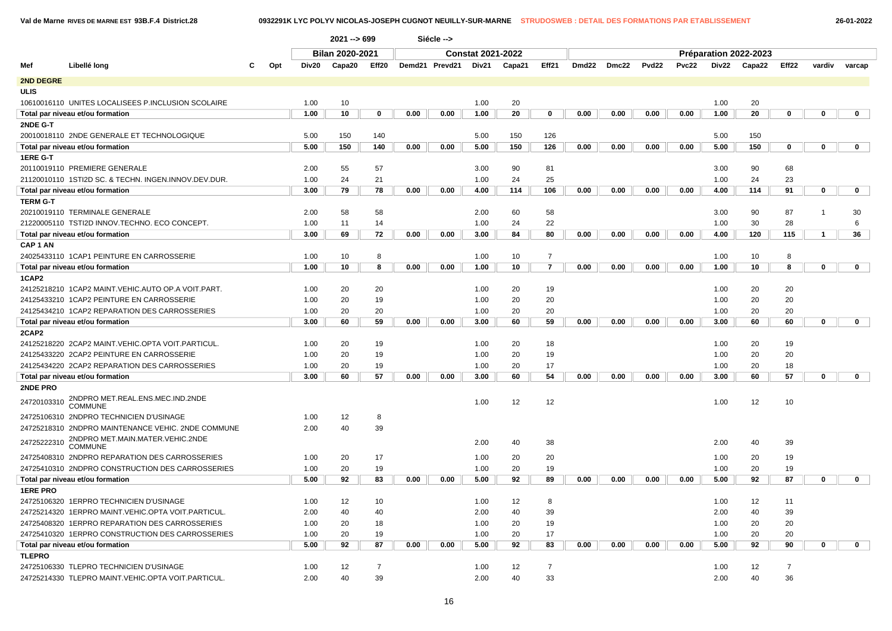### **Val de Marne RIVES DE MARNE EST 93B.F.4 District.28 0932291K LYC POLYV NICOLAS-JOSEPH CUGNOT NEUILLY-SUR-MARNE STRUDOSWEB : DETAIL DES FORMATIONS PAR ETABLISSEMENT 26-01-2022**

|                     |                                                      |   |     |              | $2021 - 699$                                         |                |      | Siécle --> |                          |          |                |      |             |                   |       |              |                       |                |                |             |
|---------------------|------------------------------------------------------|---|-----|--------------|------------------------------------------------------|----------------|------|------------|--------------------------|----------|----------------|------|-------------|-------------------|-------|--------------|-----------------------|----------------|----------------|-------------|
|                     |                                                      |   |     |              |                                                      |                |      |            | <b>Constat 2021-2022</b> |          |                |      |             |                   |       |              | Préparation 2022-2023 |                |                |             |
| Mef                 | Libellé long                                         | С | Opt | Div20        | Bilan 2020-2021<br>Eff20<br>Demd21 Prevd21<br>Capa20 |                |      |            | Div21                    | Capa21   | Eff21          |      | Dmd22 Dmc22 | Pvd <sub>22</sub> | Pvc22 | Div22        | Capa22                | Eff22          | vardiv         | varcap      |
| 2ND DEGRE           |                                                      |   |     |              |                                                      |                |      |            |                          |          |                |      |             |                   |       |              |                       |                |                |             |
| <b>ULIS</b>         |                                                      |   |     |              |                                                      |                |      |            |                          |          |                |      |             |                   |       |              |                       |                |                |             |
|                     | 10610016110 UNITES LOCALISEES P.INCLUSION SCOLAIRE   |   |     | 1.00         | 10                                                   |                |      |            | 1.00                     | 20       |                |      |             |                   |       | 1.00         | 20                    |                |                |             |
|                     | Total par niveau et/ou formation                     |   |     | 1.00         | 10                                                   | 0              | 0.00 | 0.00       | 1.00                     | 20       | 0              | 0.00 | 0.00        | 0.00              | 0.00  | 1.00         | 20                    | 0              | 0              | 0           |
| 2NDE G-T            |                                                      |   |     |              | 5.00<br>150<br>140                                   |                |      |            |                          |          |                |      |             |                   |       |              |                       |                |                |             |
|                     | 20010018110 2NDE GENERALE ET TECHNOLOGIQUE           |   |     |              | 150<br>140<br>0.00                                   |                |      |            | 5.00                     | 150      | 126            |      |             |                   |       | 5.00         | 150                   |                |                |             |
|                     | Total par niveau et/ou formation                     |   |     | 5.00         |                                                      |                |      | 0.00       | 5.00                     | 150      | 126            | 0.00 | 0.00        | 0.00              | 0.00  | 5.00         | 150                   | $\mathbf 0$    | $\bf{0}$       | 0           |
| 1ERE G-T            |                                                      |   |     |              |                                                      |                |      |            |                          |          |                |      |             |                   |       |              |                       |                |                |             |
|                     | 20110019110 PREMIERE GENERALE                        |   |     | 2.00         | 55                                                   | 57             |      |            | 3.00                     | 90       | 81             |      |             |                   |       | 3.00         | 90                    | 68             |                |             |
|                     | 21120010110 1STI2D SC. & TECHN. INGEN.INNOV.DEV.DUR. |   |     | 1.00         | 24                                                   | 21             |      |            | 1.00                     | 24       | 25             |      |             |                   |       | 1.00         | 24                    | 23             |                |             |
|                     | Total par niveau et/ou formation                     |   |     | 3.00         | 79                                                   | 78             | 0.00 | 0.00       | 4.00                     | 114      | 106            | 0.00 | 0.00        | 0.00              | 0.00  | 4.00         | 114                   | 91             | $\mathbf 0$    | $\mathbf 0$ |
| <b>TERM G-T</b>     |                                                      |   |     |              |                                                      |                |      |            |                          |          |                |      |             |                   |       |              |                       |                |                |             |
|                     | 20210019110 TERMINALE GENERALE                       |   |     | 2.00         | 58                                                   | 58             |      |            | 2.00                     | 60       | 58             |      |             |                   |       | 3.00         | 90                    | 87             | $\overline{1}$ | 30          |
|                     | 21220005110 TSTI2D INNOV.TECHNO. ECO CONCEPT.        |   |     | 1.00         | 11                                                   | 14             |      |            | 1.00                     | 24       | 22             |      |             |                   |       | 1.00         | 30                    | 28             |                | 6           |
|                     | Total par niveau et/ou formation                     |   |     | 3.00         | 69                                                   | 72             | 0.00 | 0.00       | 3.00                     | 84       | 80             | 0.00 | 0.00        | 0.00              | 0.00  | 4.00         | 120                   | 115            | 1              | 36          |
| CAP <sub>1</sub> AN |                                                      |   |     |              |                                                      |                |      |            |                          |          |                |      |             |                   |       |              |                       |                |                |             |
|                     | 24025433110 1CAP1 PEINTURE EN CARROSSERIE            |   |     | 1.00         | 10                                                   | 8              |      |            | 1.00                     | 10       | $\overline{7}$ |      |             |                   |       | 1.00         | 10                    | 8              |                |             |
|                     | Total par niveau et/ou formation                     |   |     | 1.00         | 10                                                   | 8              | 0.00 | 0.00       | 1.00                     | 10       | $\overline{7}$ | 0.00 | 0.00        | 0.00              | 0.00  | 1.00         | 10                    | 8              | 0              | $\mathbf 0$ |
| 1CAP2               |                                                      |   |     |              |                                                      |                |      |            |                          |          |                |      |             |                   |       |              |                       |                |                |             |
|                     | 24125218210 1CAP2 MAINT.VEHIC.AUTO OP.A VOIT.PART.   |   |     | 1.00         | 20                                                   | 20             |      |            | 1.00                     | 20       | 19             |      |             |                   |       | 1.00         | 20                    | 20             |                |             |
|                     | 24125433210 1CAP2 PEINTURE EN CARROSSERIE            |   |     | 1.00         | 20                                                   | 19             |      |            | 1.00                     | 20       | 20             |      |             |                   |       | 1.00         | 20                    | 20             |                |             |
|                     | 24125434210 1CAP2 REPARATION DES CARROSSERIES        |   |     | 1.00         | 20                                                   | 20             |      |            | 1.00                     | 20       | 20             |      |             |                   |       | 1.00         | 20                    | 20             |                |             |
|                     | Total par niveau et/ou formation                     |   |     | 3.00         | 60                                                   | 59             | 0.00 | 0.00       | 3.00                     | 60       | 59             | 0.00 | 0.00        | 0.00              | 0.00  | 3.00         | 60                    | 60             | 0              | $\mathbf 0$ |
| 2CAP2               |                                                      |   |     |              |                                                      |                |      |            |                          |          |                |      |             |                   |       |              |                       |                |                |             |
|                     | 24125218220 2CAP2 MAINT.VEHIC.OPTA VOIT.PARTICUL.    |   |     | 1.00         | 20                                                   | 19             |      |            | 1.00                     | 20       | 18             |      |             |                   |       | 1.00         | 20                    | 19             |                |             |
|                     | 24125433220 2CAP2 PEINTURE EN CARROSSERIE            |   |     | 1.00         | 20                                                   | 19             |      |            | 1.00                     | 20       | 19             |      |             |                   |       | 1.00         | 20                    | 20             |                |             |
|                     | 24125434220 2CAP2 REPARATION DES CARROSSERIES        |   |     | 1.00<br>3.00 | 20<br>60                                             | 19<br>57       | 0.00 | 0.00       | 1.00                     | 20<br>60 | 17<br>54       | 0.00 | 0.00        | 0.00              | 0.00  | 1.00<br>3.00 | 20                    | 18<br>57       | 0              | 0           |
| 2NDE PRO            | Total par niveau et/ou formation                     |   |     |              |                                                      |                |      |            | 3.00                     |          |                |      |             |                   |       |              | 60                    |                |                |             |
|                     | 2NDPRO MET.REAL.ENS.MEC.IND.2NDE                     |   |     |              |                                                      |                |      |            |                          |          |                |      |             |                   |       |              |                       |                |                |             |
| 24720103310         | <b>COMMUNE</b>                                       |   |     |              |                                                      |                |      |            | 1.00                     | 12       | 12             |      |             |                   |       | 1.00         | 12                    | 10             |                |             |
|                     | 24725106310 2NDPRO TECHNICIEN D'USINAGE              |   |     | 1.00         | 12                                                   | 8              |      |            |                          |          |                |      |             |                   |       |              |                       |                |                |             |
|                     | 24725218310 2NDPRO MAINTENANCE VEHIC. 2NDE COMMUNE   |   |     | 2.00         | 40                                                   | 39             |      |            |                          |          |                |      |             |                   |       |              |                       |                |                |             |
| 24725222310         | 2NDPRO MET.MAIN.MATER.VEHIC.2NDE<br><b>COMMUNE</b>   |   |     |              |                                                      |                |      |            | 2.00                     | 40       | 38             |      |             |                   |       | 2.00         | 40                    | 39             |                |             |
|                     | 24725408310 2NDPRO REPARATION DES CARROSSERIES       |   |     | 1.00         | 20                                                   | 17             |      |            | 1.00                     | 20       | 20             |      |             |                   |       | 1.00         | 20                    | 19             |                |             |
|                     | 24725410310 2NDPRO CONSTRUCTION DES CARROSSERIES     |   |     | 1.00         | 20                                                   | 19             |      |            | 1.00                     | 20       | 19             |      |             |                   |       | 1.00         | 20                    | 19             |                |             |
|                     | Total par niveau et/ou formation                     |   |     | 5.00         | 92                                                   | 83             | 0.00 | 0.00       | 5.00                     | 92       | 89             | 0.00 | 0.00        | 0.00              | 0.00  | 5.00         | 92                    | 87             | 0              | $\mathbf 0$ |
| <b>1ERE PRO</b>     |                                                      |   |     |              |                                                      |                |      |            |                          |          |                |      |             |                   |       |              |                       |                |                |             |
|                     | 24725106320 1ERPRO TECHNICIEN D'USINAGE              |   |     | 1.00         | 12                                                   | 10             |      |            | 1.00                     | 12       | 8              |      |             |                   |       | 1.00         | 12                    | 11             |                |             |
|                     | 24725214320 1ERPRO MAINT.VEHIC.OPTA VOIT.PARTICUL    |   |     | 2.00         | 40                                                   | 40             |      |            | 2.00                     | 40       | 39             |      |             |                   |       | 2.00         | 40                    | 39             |                |             |
|                     | 24725408320 1ERPRO REPARATION DES CARROSSERIES       |   |     | 1.00         | 20                                                   | 18             |      |            | 1.00                     | 20       | 19             |      |             |                   |       | 1.00         | 20                    | 20             |                |             |
|                     | 24725410320 1ERPRO CONSTRUCTION DES CARROSSERIES     |   |     | 1.00         | 20                                                   | 19             |      |            | 1.00                     | 20       | 17             |      |             |                   |       | 1.00         | 20                    | 20             |                |             |
|                     | Total par niveau et/ou formation                     |   |     | 5.00         | 92                                                   | 87             | 0.00 | 0.00       | 5.00                     | 92       | 83             | 0.00 | 0.00        | 0.00              | 0.00  | 5.00         | 92                    | 90             | 0              | 0           |
| <b>TLEPRO</b>       |                                                      |   |     |              |                                                      |                |      |            |                          |          |                |      |             |                   |       |              |                       |                |                |             |
|                     | 24725106330 TLEPRO TECHNICIEN D'USINAGE              |   |     | 1.00         | 12                                                   | $\overline{7}$ |      |            | 1.00                     | 12       | $\overline{7}$ |      |             |                   |       | 1.00         | 12                    | $\overline{7}$ |                |             |
|                     | 24725214330 TLEPRO MAINT.VEHIC.OPTA VOIT.PARTICUL    |   |     | 2.00         | 40                                                   | 39             |      |            | 2.00                     | 40       | 33             |      |             |                   |       | 2.00         | 40                    | 36             |                |             |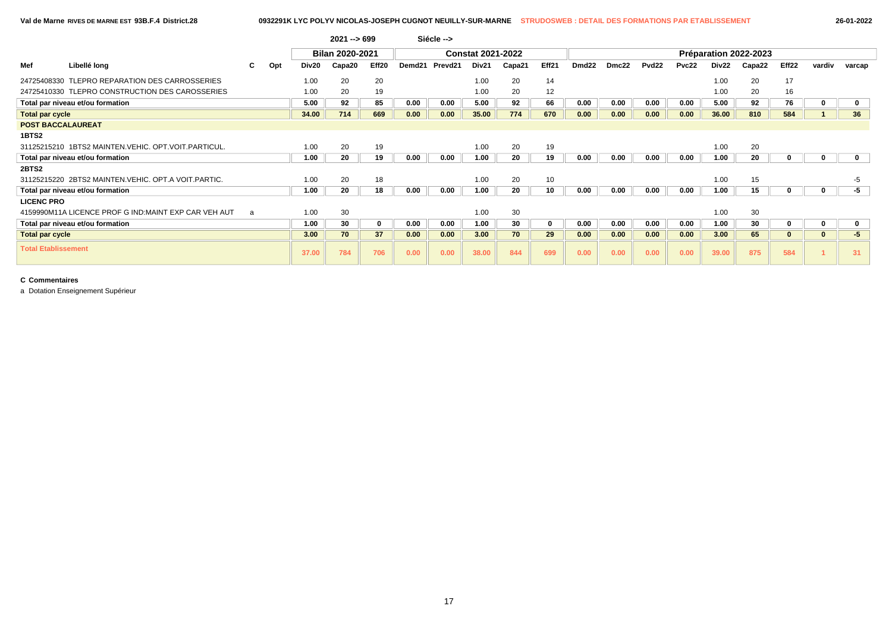|                            |                                                        |    |     |       | $2021 - 699$           |          |        | Siécle --> |                          |        |             |       |       |                   |              |                   |                       |       |        |        |
|----------------------------|--------------------------------------------------------|----|-----|-------|------------------------|----------|--------|------------|--------------------------|--------|-------------|-------|-------|-------------------|--------------|-------------------|-----------------------|-------|--------|--------|
|                            |                                                        |    |     |       | <b>Bilan 2020-2021</b> |          |        |            | <b>Constat 2021-2022</b> |        |             |       |       |                   |              |                   | Préparation 2022-2023 |       |        |        |
| Mef                        | Libellé long                                           | C. | Opt | Div20 | Capa20                 | Eff20    | Demd21 | Prevd21    | Div21                    | Capa21 | Eff21       | Dmd22 | Dmc22 | Pvd <sub>22</sub> | <b>Pvc22</b> | Div <sub>22</sub> | Capa22                | Eff22 | vardiv | varcap |
|                            | 24725408330 TLEPRO REPARATION DES CARROSSERIES         |    |     | 1.00  | 20                     | 20       |        |            | 1.00                     | 20     | 14          |       |       |                   |              | 1.00              | 20                    | 17    |        |        |
|                            | 24725410330 TLEPRO CONSTRUCTION DES CAROSSERIES        |    |     | 1.00  | 20                     | 19       |        |            | 1.00                     | 20     | 12          |       |       |                   |              | 1.00              | 20                    | 16    |        |        |
|                            | Total par niveau et/ou formation                       |    |     | 5.00  | 92                     | 85       | 0.00   | 0.00       | 5.00                     | 92     | 66          | 0.00  | 0.00  | 0.00              | 0.00         | 5.00              | 92                    | 76    |        |        |
| <b>Total par cycle</b>     |                                                        |    |     | 34.00 | 714                    | 669      | 0.00   | 0.00       | 35.00                    | 774    | 670         | 0.00  | 0.00  | 0.00              | 0.00         | 36.00             | 810                   | 584   |        | 36     |
| <b>POST BACCALAUREAT</b>   |                                                        |    |     |       |                        |          |        |            |                          |        |             |       |       |                   |              |                   |                       |       |        |        |
| 1BTS2                      |                                                        |    |     |       |                        |          |        |            |                          |        |             |       |       |                   |              |                   |                       |       |        |        |
|                            | 31125215210 1BTS2 MAINTEN.VEHIC, OPT.VOIT.PARTICUL.    |    |     | 1.00  | 20                     | 19       |        |            | 1.00                     | 20     | 19          |       |       |                   |              | 1.00              | 20                    |       |        |        |
|                            | Total par niveau et/ou formation                       |    |     | 1.00  | 20                     | 19       | 0.00   | 0.00       | 1.00                     | 20     | 19          | 0.00  | 0.00  | 0.00              | 0.00         | 1.00              | 20                    |       |        |        |
| 2BTS2                      |                                                        |    |     |       |                        |          |        |            |                          |        |             |       |       |                   |              |                   |                       |       |        |        |
|                            | 31125215220 2BTS2 MAINTEN. VEHIC, OPT. A VOIT. PARTIC. |    |     | 1.00  | 20                     | 18       |        |            | 1.00                     | 20     | 10          |       |       |                   |              | 1.00              | 15                    |       |        | -5     |
|                            | Total par niveau et/ou formation                       |    |     | 1.00  | 20                     | 18       | 0.00   | 0.00       | 1.00                     | 20     | 10          | 0.00  | 0.00  | 0.00              | 0.00         | 1.00              | 15                    |       |        | -5     |
| <b>LICENC PRO</b>          |                                                        |    |     |       |                        |          |        |            |                          |        |             |       |       |                   |              |                   |                       |       |        |        |
|                            | 4159990M11A LICENCE PROF G IND:MAINT EXP CAR VEH AUT   | a  |     | 1.00  | 30                     |          |        |            | 1.00                     | 30     |             |       |       |                   |              | 1.00              | 30                    |       |        |        |
|                            | Total par niveau et/ou formation                       |    |     | 1.00  | 30                     | $\bf{0}$ | 0.00   | 0.00       | 1.00                     | 30     | $\mathbf 0$ | 0.00  | 0.00  | 0.00              | 0.00         | 1.00              | 30                    |       |        |        |
| <b>Total par cycle</b>     |                                                        |    |     | 3.00  | 70                     | 37       | 0.00   | 0.00       | 3.00                     | 70     | 29          | 0.00  | 0.00  | 0.00              | 0.00         | 3.00              | 65                    |       |        | $-5$   |
| <b>Total Etablissement</b> |                                                        |    |     | 37.00 | 784                    | 706      | 0.00   | 0.00       | 38.00                    | 844    | 699         | 0.00  | 0.00  | 0.00              | 0.00         | 39.00             | 875                   | 584   |        | 31     |

a Dotation Enseignement Supérieur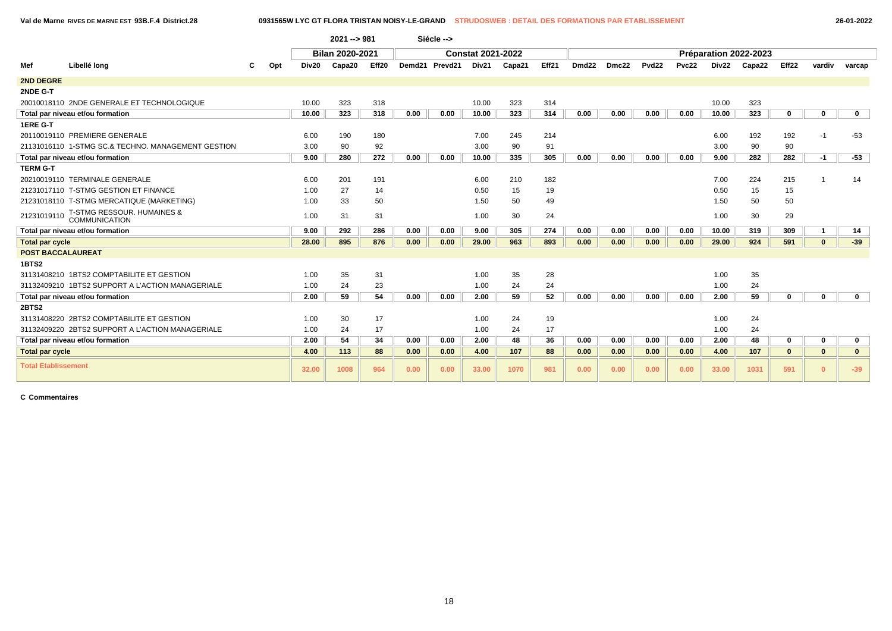**Val de Marne RIVES DE MARNE EST 93B.F.4 District.28 0931565W LYC GT FLORA TRISTAN NOISY-LE-GRAND STRUDOSWEB : DETAIL DES FORMATIONS PAR ETABLISSEMENT 26-01-2022**

|                            |                                                    |   |     |       | $2021 - 981$           |       |      | Siécle -->     |                          |        |       |                   |       |                   |       |       |                       |                   |              |              |
|----------------------------|----------------------------------------------------|---|-----|-------|------------------------|-------|------|----------------|--------------------------|--------|-------|-------------------|-------|-------------------|-------|-------|-----------------------|-------------------|--------------|--------------|
|                            |                                                    |   |     |       | <b>Bilan 2020-2021</b> |       |      |                | <b>Constat 2021-2022</b> |        |       |                   |       |                   |       |       | Préparation 2022-2023 |                   |              |              |
| Mef                        | Libellé long                                       | C | Opt | Div20 | Capa20                 | Eff20 |      | Demd21 Prevd21 | Div21                    | Capa21 | Eff21 | Dmd <sub>22</sub> | Dmc22 | Pvd <sub>22</sub> | Pvc22 | Div22 | Capa22                | Eff <sub>22</sub> | vardiv       | varcap       |
| <b>2ND DEGRE</b>           |                                                    |   |     |       |                        |       |      |                |                          |        |       |                   |       |                   |       |       |                       |                   |              |              |
| 2NDE G-T                   |                                                    |   |     |       |                        |       |      |                |                          |        |       |                   |       |                   |       |       |                       |                   |              |              |
|                            | 20010018110 2NDE GENERALE ET TECHNOLOGIQUE         |   |     | 10.00 | 323                    | 318   |      |                | 10.00                    | 323    | 314   |                   |       |                   |       | 10.00 | 323                   |                   |              |              |
|                            | Total par niveau et/ou formation                   |   |     | 10.00 | 323                    | 318   | 0.00 | 0.00           | 10.00                    | 323    | 314   | 0.00              | 0.00  | 0.00              | 0.00  | 10.00 | 323                   | $\bf{0}$          | $\mathbf{0}$ | $\mathbf 0$  |
| 1ERE G-T                   |                                                    |   |     |       |                        |       |      |                |                          |        |       |                   |       |                   |       |       |                       |                   |              |              |
|                            | 20110019110 PREMIERE GENERALE                      |   |     | 6.00  | 190                    | 180   |      |                | 7.00                     | 245    | 214   |                   |       |                   |       | 6.00  | 192                   | 192               | -1           | $-53$        |
|                            | 21131016110 1-STMG SC.& TECHNO, MANAGEMENT GESTION |   |     | 3.00  | 90                     | 92    |      |                | 3.00                     | 90     | 91    |                   |       |                   |       | 3.00  | 90                    | 90                |              |              |
|                            | Total par niveau et/ou formation                   |   |     | 9.00  | 280                    | 272   | 0.00 | 0.00           | 10.00                    | 335    | 305   | 0.00              | 0.00  | 0.00              | 0.00  | 9.00  | 282                   | 282               | -1           | $-53$        |
| <b>TERM G-T</b>            |                                                    |   |     |       |                        |       |      |                |                          |        |       |                   |       |                   |       |       |                       |                   |              |              |
|                            | 20210019110 TERMINALE GENERALE                     |   |     | 6.00  | 201                    | 191   |      |                | 6.00                     | 210    | 182   |                   |       |                   |       | 7.00  | 224                   | 215               |              | 14           |
|                            | 21231017110 T-STMG GESTION ET FINANCE              |   |     | 1.00  | 27                     | 14    |      |                | 0.50                     | 15     | 19    |                   |       |                   |       | 0.50  | 15                    | 15                |              |              |
|                            | 21231018110 T-STMG MERCATIQUE (MARKETING)          |   |     | 1.00  | 33                     | 50    |      |                | 1.50                     | 50     | 49    |                   |       |                   |       | 1.50  | 50                    | 50                |              |              |
| 21231019110                | T-STMG RESSOUR. HUMAINES &<br>COMMUNICATION        |   |     | 1.00  | 31                     | 31    |      |                | 1.00                     | 30     | 24    |                   |       |                   |       | 1.00  | 30                    | 29                |              |              |
|                            | Total par niveau et/ou formation                   |   |     | 9.00  | 292                    | 286   | 0.00 | 0.00           | 9.00                     | 305    | 274   | 0.00              | 0.00  | 0.00              | 0.00  | 10.00 | 319                   | 309               | $\mathbf{1}$ | 14           |
| <b>Total par cycle</b>     |                                                    |   |     | 28.00 | 895                    | 876   | 0.00 | 0.00           | 29.00                    | 963    | 893   | 0.00              | 0.00  | 0.00              | 0.00  | 29.00 | 924                   | 591               | $\mathbf{0}$ | $-39$        |
| <b>POST BACCALAUREAT</b>   |                                                    |   |     |       |                        |       |      |                |                          |        |       |                   |       |                   |       |       |                       |                   |              |              |
| 1BTS2                      |                                                    |   |     |       |                        |       |      |                |                          |        |       |                   |       |                   |       |       |                       |                   |              |              |
|                            | 31131408210 1BTS2 COMPTABILITE ET GESTION          |   |     | 1.00  | 35                     | 31    |      |                | 1.00                     | 35     | 28    |                   |       |                   |       | 1.00  | 35                    |                   |              |              |
|                            | 31132409210 1BTS2 SUPPORT A L'ACTION MANAGERIALE   |   |     | 1.00  | 24                     | 23    |      |                | 1.00                     | 24     | 24    |                   |       |                   |       | 1.00  | 24                    |                   |              |              |
|                            | Total par niveau et/ou formation                   |   |     | 2.00  | 59                     | 54    | 0.00 | 0.00           | 2.00                     | 59     | 52    | 0.00              | 0.00  | 0.00              | 0.00  | 2.00  | 59                    | $\bf{0}$          | $\mathbf{0}$ | $\mathbf 0$  |
| 2BTS2                      |                                                    |   |     |       |                        |       |      |                |                          |        |       |                   |       |                   |       |       |                       |                   |              |              |
|                            | 31131408220 2BTS2 COMPTABILITE ET GESTION          |   |     | 1.00  | 30                     | 17    |      |                | 1.00                     | 24     | 19    |                   |       |                   |       | 1.00  | 24                    |                   |              |              |
|                            | 31132409220 2BTS2 SUPPORT A L'ACTION MANAGERIALE   |   |     | 1.00  | 24                     | 17    |      |                | 1.00                     | 24     | 17    |                   |       |                   |       | 1.00  | 24                    |                   |              |              |
|                            | Total par niveau et/ou formation                   |   |     | 2.00  | 54                     | 34    | 0.00 | 0.00           | 2.00                     | 48     | 36    | 0.00              | 0.00  | 0.00              | 0.00  | 2.00  | 48                    | $\mathbf{0}$      | 0            | $\mathbf 0$  |
| <b>Total par cycle</b>     |                                                    |   |     | 4.00  | 113                    | 88    | 0.00 | 0.00           | 4.00                     | 107    | 88    | 0.00              | 0.00  | 0.00              | 0.00  | 4.00  | 107                   | $\mathbf{0}$      | $\mathbf{0}$ | $\mathbf{0}$ |
| <b>Total Etablissement</b> |                                                    |   |     | 32.00 | 1008                   | 964   | 0.00 | 0.00           | 33.00                    | 1070   | 981   | 0.00              | 0.00  | 0.00              | 0.00  | 33.00 | 1031                  | 591               | $\Omega$     | $-39$        |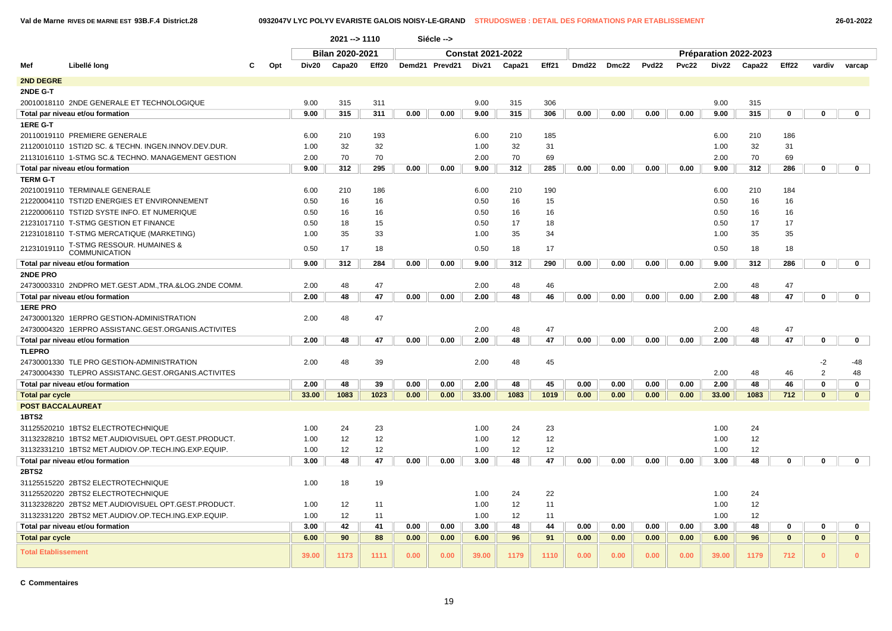**Val de Marne RIVES DE MARNE EST 93B.F.4 District.28 0932047V LYC POLYV EVARISTE GALOIS NOISY-LE-GRAND STRUDOSWEB : DETAIL DES FORMATIONS PAR ETABLISSEMENT 26-01-2022**

|                            |                                                               |     |       | 2021 --> 1110          |       |      | Siécle -->     |                          |        |       |       |       |       |       |       |                       |              |                |              |  |
|----------------------------|---------------------------------------------------------------|-----|-------|------------------------|-------|------|----------------|--------------------------|--------|-------|-------|-------|-------|-------|-------|-----------------------|--------------|----------------|--------------|--|
|                            |                                                               |     |       | <b>Bilan 2020-2021</b> |       |      |                | <b>Constat 2021-2022</b> |        |       |       |       |       |       |       | Préparation 2022-2023 |              |                |              |  |
| Mef                        | Libellé long                                                  | Opt | Div20 | Capa20                 | Eff20 |      | Demd21 Prevd21 | Div21                    | Capa21 | Eff21 | Dmd22 | Dmc22 | Pvd22 | Pvc22 | Div22 | Capa22                | Eff22        | vardiv         | varcap       |  |
| 2ND DEGRE                  |                                                               |     |       |                        |       |      |                |                          |        |       |       |       |       |       |       |                       |              |                |              |  |
| 2NDE G-T                   |                                                               |     |       |                        |       |      |                |                          |        |       |       |       |       |       |       |                       |              |                |              |  |
|                            | 20010018110 2NDE GENERALE ET TECHNOLOGIQUE                    |     | 9.00  | 315                    | 311   |      |                | 9.00                     | 315    | 306   |       |       |       |       | 9.00  | 315                   |              |                |              |  |
|                            | Total par niveau et/ou formation                              |     | 9.00  | 315                    | 311   | 0.00 | 0.00           | 9.00                     | 315    | 306   | 0.00  | 0.00  | 0.00  | 0.00  | 9.00  | 315                   | 0            | $\mathbf 0$    | $\mathbf 0$  |  |
| 1ERE G-T                   |                                                               |     |       |                        |       |      |                |                          |        |       |       |       |       |       |       |                       |              |                |              |  |
|                            | 20110019110 PREMIERE GENERALE                                 |     | 6.00  | 210                    | 193   |      |                | 6.00                     | 210    | 185   |       |       |       |       | 6.00  | 210                   | 186          |                |              |  |
|                            | 21120010110 1STI2D SC. & TECHN. INGEN.INNOV.DEV.DUR.          |     | 1.00  | 32                     | 32    |      |                | 1.00                     | 32     | 31    |       |       |       |       | 1.00  | 32                    | 31           |                |              |  |
|                            | 21131016110 1-STMG SC.& TECHNO. MANAGEMENT GESTION            |     | 2.00  | 70                     | 70    |      |                | 2.00                     | 70     | 69    |       |       |       |       | 2.00  | 70                    | 69           |                |              |  |
|                            | Total par niveau et/ou formation                              |     | 9.00  | 312                    | 295   | 0.00 | 0.00           | 9.00                     | 312    | 285   | 0.00  | 0.00  | 0.00  | 0.00  | 9.00  | 312                   | 286          | $\mathbf 0$    | $\mathbf 0$  |  |
| <b>TERM G-T</b>            |                                                               |     |       |                        |       |      |                |                          |        |       |       |       |       |       |       |                       |              |                |              |  |
|                            | 20210019110 TERMINALE GENERALE                                |     | 6.00  | 210                    | 186   |      |                | 6.00                     | 210    | 190   |       |       |       |       | 6.00  | 210                   | 184          |                |              |  |
|                            | 21220004110 TSTI2D ENERGIES ET ENVIRONNEMENT                  |     | 0.50  | 16                     | 16    |      |                | 0.50                     | 16     | 15    |       |       |       |       | 0.50  | 16                    | 16           |                |              |  |
|                            | 21220006110 TSTI2D SYSTE INFO. ET NUMERIQUE                   |     | 0.50  | 16                     | 16    |      |                | 0.50                     | 16     | 16    |       |       |       |       | 0.50  | 16                    | 16           |                |              |  |
|                            | 21231017110 T-STMG GESTION ET FINANCE                         |     | 0.50  | 18                     | 15    |      |                | 0.50                     | 17     | 18    |       |       |       |       | 0.50  | 17                    | 17           |                |              |  |
|                            | 21231018110 T-STMG MERCATIQUE (MARKETING)                     |     | 1.00  | 35                     | 33    |      |                | 1.00                     | 35     | 34    |       |       |       |       | 1.00  | 35                    | 35           |                |              |  |
| 21231019110                | <b>T-STMG RESSOUR. HUMAINES &amp;</b><br><b>COMMUNICATION</b> |     | 0.50  | 17                     | 18    |      |                | 0.50                     | 18     | 17    |       |       |       |       | 0.50  | 18                    | 18           |                |              |  |
|                            | Total par niveau et/ou formation                              |     | 9.00  | 312                    | 284   | 0.00 | 0.00           | 9.00                     | 312    | 290   | 0.00  | 0.00  | 0.00  | 0.00  | 9.00  | 312                   | 286          | $\mathbf 0$    | $\mathbf 0$  |  |
| 2NDE PRO                   |                                                               |     |       |                        |       |      |                |                          |        |       |       |       |       |       |       |                       |              |                |              |  |
|                            | 24730003310 2NDPRO MET.GEST.ADM.,TRA.&LOG.2NDE COMM.          |     | 2.00  | 48                     | 47    |      |                | 2.00                     | 48     | 46    |       |       |       |       | 2.00  | 48                    | 47           |                |              |  |
|                            | Total par niveau et/ou formation                              |     | 2.00  | 48                     | 47    | 0.00 | 0.00           | 2.00                     | 48     | 46    | 0.00  | 0.00  | 0.00  | 0.00  | 2.00  | 48                    | 47           | $\bf{0}$       | $\mathbf 0$  |  |
| <b>1ERE PRO</b>            |                                                               |     |       |                        |       |      |                |                          |        |       |       |       |       |       |       |                       |              |                |              |  |
|                            | 24730001320 1ERPRO GESTION-ADMINISTRATION                     |     | 2.00  | 48                     | 47    |      |                |                          |        |       |       |       |       |       |       |                       |              |                |              |  |
|                            | 24730004320 1ERPRO ASSISTANC.GEST.ORGANIS.ACTIVITES           |     |       |                        |       |      |                | 2.00                     | 48     | 47    |       |       |       |       | 2.00  | 48                    | 47           |                |              |  |
|                            | Total par niveau et/ou formation                              |     | 2.00  | 48                     | 47    | 0.00 | 0.00           | 2.00                     | 48     | 47    | 0.00  | 0.00  | 0.00  | 0.00  | 2.00  | 48                    | 47           | $\mathbf 0$    | $\mathbf 0$  |  |
| <b>TLEPRO</b>              |                                                               |     |       |                        |       |      |                |                          |        |       |       |       |       |       |       |                       |              |                |              |  |
|                            | 24730001330 TLE PRO GESTION-ADMINISTRATION                    |     | 2.00  | 48                     | 39    |      |                | 2.00                     | 48     | 45    |       |       |       |       |       |                       |              | $-2$           | $-48$        |  |
|                            | 24730004330 TLEPRO ASSISTANC.GEST.ORGANIS.ACTIVITES           |     |       |                        |       |      |                |                          |        |       |       |       |       |       | 2.00  | 48                    | 46           | $\overline{2}$ | 48           |  |
|                            | Total par niveau et/ou formation                              |     | 2.00  | 48                     | 39    | 0.00 | 0.00           | 2.00                     | 48     | 45    | 0.00  | 0.00  | 0.00  | 0.00  | 2.00  | 48                    | 46           | $\mathbf 0$    | $\mathbf 0$  |  |
| <b>Total par cycle</b>     |                                                               |     | 33.00 | 1083                   | 1023  | 0.00 | 0.00           | 33.00                    | 1083   | 1019  | 0.00  | 0.00  | 0.00  | 0.00  | 33.00 | 1083                  | 712          | $\mathbf{0}$   | $\mathbf{0}$ |  |
| <b>POST BACCALAUREAT</b>   |                                                               |     |       |                        |       |      |                |                          |        |       |       |       |       |       |       |                       |              |                |              |  |
| 1BTS2                      |                                                               |     |       |                        |       |      |                |                          |        |       |       |       |       |       |       |                       |              |                |              |  |
|                            | 31125520210 1BTS2 ELECTROTECHNIQUE                            |     | 1.00  | 24                     | 23    |      |                | 1.00                     | 24     | 23    |       |       |       |       | 1.00  | 24                    |              |                |              |  |
|                            | 31132328210 1BTS2 MET.AUDIOVISUEL OPT.GEST.PRODUCT.           |     | 1.00  | 12                     | 12    |      |                | 1.00                     | 12     | 12    |       |       |       |       | 1.00  | 12                    |              |                |              |  |
|                            | 31132331210 1BTS2 MET.AUDIOV.OP.TECH.ING.EXP.EQUIP            |     | 1.00  | 12                     | 12    |      |                | 1.00                     | 12     | 12    |       |       |       |       | 1.00  | 12                    |              |                |              |  |
|                            | Total par niveau et/ou formation                              |     | 3.00  | 48                     | 47    | 0.00 | 0.00           | 3.00                     | 48     | 47    | 0.00  | 0.00  | 0.00  | 0.00  | 3.00  | 48                    | 0            | 0              | $\mathbf 0$  |  |
| 2BTS2                      |                                                               |     |       |                        |       |      |                |                          |        |       |       |       |       |       |       |                       |              |                |              |  |
|                            | 31125515220 2BTS2 ELECTROTECHNIQUE                            |     | 1.00  | 18                     | 19    |      |                |                          |        |       |       |       |       |       |       |                       |              |                |              |  |
|                            | 31125520220 2BTS2 ELECTROTECHNIQUE                            |     |       |                        |       |      |                | 1.00                     | 24     | 22    |       |       |       |       | 1.00  | 24                    |              |                |              |  |
|                            | 31132328220 2BTS2 MET.AUDIOVISUEL OPT.GEST.PRODUCT.           |     | 1.00  | 12                     | 11    |      |                | 1.00                     | 12     | 11    |       |       |       |       | 1.00  | 12                    |              |                |              |  |
|                            | 31132331220 2BTS2 MET.AUDIOV.OP.TECH.ING.EXP.EQUIP.           |     | 1.00  | 12                     |       |      | 1.00           | 12                       | 11     |       |       |       |       | 1.00  | 12    |                       |              |                |              |  |
|                            | Total par niveau et/ou formation                              |     | 3.00  | 42                     | 0.00  | 0.00 | 3.00           | 48                       | 44     | 0.00  | 0.00  | 0.00  | 0.00  | 3.00  | 48    | 0                     | 0            | $\mathbf 0$    |              |  |
| <b>Total par cycle</b>     |                                                               |     | 6.00  | 90                     | 0.00  | 0.00 | 6.00           | 96                       | 91     | 0.00  | 0.00  | 0.00  | 0.00  | 6.00  | 96    | $\mathbf{0}$          | $\mathbf{0}$ | $\mathbf{0}$   |              |  |
| <b>Total Etablissement</b> |                                                               |     | 39.00 | 1173                   | 1111  | 0.00 | 0.00           | 39.00                    | 1179   | 1110  | 0.00  | 0.00  | 0.00  | 0.00  | 39.00 | 1179                  | 712          | $\Omega$       | $\mathbf{0}$ |  |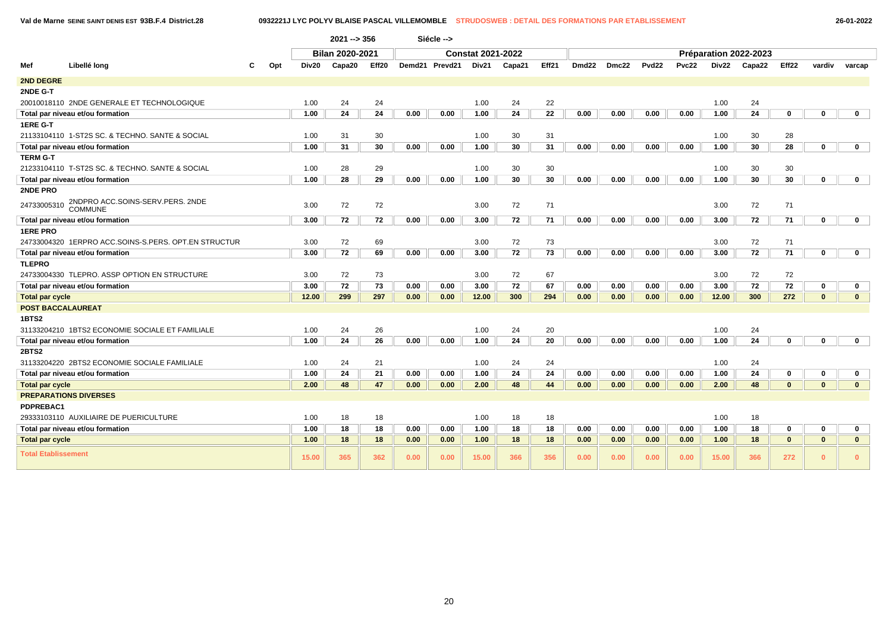**Val de Marne SEINE SAINT DENIS EST 93B.F.4 District.28 0932221J LYC POLYV BLAISE PASCAL VILLEMOMBLE STRUDOSWEB : DETAIL DES FORMATIONS PAR ETABLISSEMENT 26-01-2022**

|                            |                                                      |                                                    |       | $2021 - 356$ |       |      | Siécle -->     |       |        |       |                   |       |                   |       |              |                       |                   |              |              |
|----------------------------|------------------------------------------------------|----------------------------------------------------|-------|--------------|-------|------|----------------|-------|--------|-------|-------------------|-------|-------------------|-------|--------------|-----------------------|-------------------|--------------|--------------|
|                            |                                                      | <b>Bilan 2020-2021</b><br><b>Constat 2021-2022</b> |       |              |       |      |                |       |        |       |                   |       |                   |       |              | Préparation 2022-2023 |                   |              |              |
| Mef                        | Libellé long                                         | Opt                                                | Div20 | Capa20       | Eff20 |      | Demd21 Prevd21 | Div21 | Capa21 | Eff21 | Dmd <sub>22</sub> | Dmc22 | Pvd <sub>22</sub> | Pvc22 | <b>Div22</b> | Capa22                | Eff <sub>22</sub> | vardiv       | varcap       |
| <b>2ND DEGRE</b>           |                                                      |                                                    |       |              |       |      |                |       |        |       |                   |       |                   |       |              |                       |                   |              |              |
| 2NDE G-T                   |                                                      |                                                    |       |              |       |      |                |       |        |       |                   |       |                   |       |              |                       |                   |              |              |
|                            | 20010018110 2NDE GENERALE ET TECHNOLOGIQUE           |                                                    | 1.00  | 24           | 24    |      |                | 1.00  | 24     | 22    |                   |       |                   |       | 1.00         | 24                    |                   |              |              |
|                            | Total par niveau et/ou formation                     |                                                    | 1.00  | 24           | 24    | 0.00 | 0.00           | 1.00  | 24     | 22    | 0.00              | 0.00  | 0.00              | 0.00  | 1.00         | 24                    | 0                 | $\mathbf 0$  | $\mathbf 0$  |
| 1ERE G-T                   |                                                      |                                                    |       |              |       |      |                |       |        |       |                   |       |                   |       |              |                       |                   |              |              |
|                            | 21133104110  1-ST2S SC. & TECHNO. SANTE & SOCIAL     |                                                    | 1.00  | 31           | 30    |      |                | 1.00  | 30     | 31    |                   |       |                   |       | 1.00         | 30                    | 28                |              |              |
|                            | Total par niveau et/ou formation                     |                                                    | 1.00  | 31           | 30    | 0.00 | 0.00           | 1.00  | 30     | 31    | 0.00              | 0.00  | 0.00              | 0.00  | 1.00         | 30                    | 28                | $\mathbf 0$  | $\mathbf 0$  |
| <b>TERM G-T</b>            |                                                      |                                                    |       |              |       |      |                |       |        |       |                   |       |                   |       |              |                       |                   |              |              |
|                            | 21233104110 T-ST2S SC. & TECHNO. SANTE & SOCIAL      |                                                    | 1.00  | 28           | 29    |      |                | 1.00  | 30     | 30    |                   |       |                   |       | 1.00         | 30                    | 30                |              |              |
|                            | Total par niveau et/ou formation                     |                                                    | 1.00  | 28           | 29    | 0.00 | 0.00           | 1.00  | 30     | 30    | 0.00              | 0.00  | 0.00              | 0.00  | 1.00         | 30                    | 30                | $\mathbf 0$  | $\mathbf 0$  |
| 2NDE PRO                   |                                                      |                                                    |       |              |       |      |                |       |        |       |                   |       |                   |       |              |                       |                   |              |              |
| 24733005310                | 2NDPRO ACC.SOINS-SERV.PERS. 2NDE<br><b>COMMUNE</b>   |                                                    | 3.00  | 72           | 72    |      |                | 3.00  | 72     | 71    |                   |       |                   |       | 3.00         | 72                    | 71                |              |              |
|                            | Total par niveau et/ou formation                     |                                                    | 3.00  | 72           | 72    | 0.00 | 0.00           | 3.00  | 72     | 71    | 0.00              | 0.00  | 0.00              | 0.00  | 3.00         | 72                    | 71                | 0            | $\mathbf 0$  |
| <b>1ERE PRO</b>            |                                                      |                                                    |       |              |       |      |                |       |        |       |                   |       |                   |       |              |                       |                   |              |              |
|                            | 24733004320 1ERPRO ACC.SOINS-S.PERS. OPT.EN STRUCTUR |                                                    | 3.00  | 72           | 69    |      |                | 3.00  | 72     | 73    |                   |       |                   |       | 3.00         | 72                    | 71                |              |              |
|                            | Total par niveau et/ou formation                     |                                                    | 3.00  | 72           | 69    | 0.00 | 0.00           | 3.00  | 72     | 73    | 0.00              | 0.00  | 0.00              | 0.00  | 3.00         | 72                    | 71                | $\mathbf 0$  | $\mathbf 0$  |
| <b>TLEPRO</b>              |                                                      |                                                    |       |              |       |      |                |       |        |       |                   |       |                   |       |              |                       |                   |              |              |
|                            | 24733004330 TLEPRO. ASSP OPTION EN STRUCTURE         |                                                    | 3.00  | 72           | 73    |      |                | 3.00  | 72     | 67    |                   |       |                   |       | 3.00         | 72                    | 72                |              |              |
|                            | Total par niveau et/ou formation                     |                                                    | 3.00  | 72           | 73    | 0.00 | 0.00           | 3.00  | 72     | 67    | 0.00              | 0.00  | 0.00              | 0.00  | 3.00         | 72                    | 72                | $\mathbf 0$  | $\mathbf 0$  |
| <b>Total par cycle</b>     |                                                      |                                                    | 12.00 | 299          | 297   | 0.00 | 0.00           | 12.00 | 300    | 294   | 0.00              | 0.00  | 0.00              | 0.00  | 12.00        | 300                   | 272               | $\mathbf{0}$ | $\mathbf{0}$ |
| <b>POST BACCALAUREAT</b>   |                                                      |                                                    |       |              |       |      |                |       |        |       |                   |       |                   |       |              |                       |                   |              |              |
| 1BTS2                      |                                                      |                                                    |       |              |       |      |                |       |        |       |                   |       |                   |       |              |                       |                   |              |              |
|                            | 31133204210 1BTS2 ECONOMIE SOCIALE ET FAMILIALE      |                                                    | 1.00  | 24           | 26    |      |                | 1.00  | 24     | 20    |                   |       |                   |       | 1.00         | 24                    |                   |              |              |
|                            | Total par niveau et/ou formation                     |                                                    | 1.00  | 24           | 26    | 0.00 | 0.00           | 1.00  | 24     | 20    | 0.00              | 0.00  | 0.00              | 0.00  | 1.00         | 24                    | $\mathbf 0$       | $\mathbf 0$  | $\mathbf 0$  |
| <b>2BTS2</b>               |                                                      |                                                    |       |              |       |      |                |       |        |       |                   |       |                   |       |              |                       |                   |              |              |
|                            | 31133204220 2BTS2 ECONOMIE SOCIALE FAMILIALE         |                                                    | 1.00  | 24           | 21    |      |                | 1.00  | 24     | 24    |                   |       |                   |       | 1.00         | 24                    |                   |              |              |
|                            | Total par niveau et/ou formation                     |                                                    | 1.00  | 24           | 21    | 0.00 | 0.00           | 1.00  | 24     | 24    | 0.00              | 0.00  | 0.00              | 0.00  | 1.00         | 24                    | 0                 | 0            | $\mathbf 0$  |
| <b>Total par cycle</b>     |                                                      |                                                    | 2.00  | 48           | 47    | 0.00 | 0.00           | 2.00  | 48     | 44    | 0.00              | 0.00  | 0.00              | 0.00  | 2.00         | 48                    | $\bf{0}$          | $\mathbf{0}$ | $\mathbf{0}$ |
|                            | <b>PREPARATIONS DIVERSES</b>                         |                                                    |       |              |       |      |                |       |        |       |                   |       |                   |       |              |                       |                   |              |              |
| PDPREBAC1                  |                                                      |                                                    |       |              |       |      |                |       |        |       |                   |       |                   |       |              |                       |                   |              |              |
|                            | 29333103110 AUXILIAIRE DE PUERICULTURE               |                                                    | 1.00  | 18           | 18    |      |                | 1.00  | 18     | 18    |                   |       |                   |       | 1.00         | 18                    |                   |              |              |
|                            | Total par niveau et/ou formation                     |                                                    | 1.00  | 18           | 18    | 0.00 | 0.00           | 1.00  | 18     | 18    | 0.00              | 0.00  | 0.00              | 0.00  | 1.00         | 18                    | 0                 | $\mathbf 0$  | $\mathbf 0$  |
| <b>Total par cycle</b>     |                                                      |                                                    | 1.00  | 18           | 18    | 0.00 | 0.00           | 1.00  | 18     | 18    | 0.00              | 0.00  | 0.00              | 0.00  | 1.00         | 18                    | $\bf{0}$          | $\bf{0}$     | $\mathbf{0}$ |
| <b>Total Etablissement</b> |                                                      |                                                    | 15.00 | 365          | 362   | 0.00 | 0.00           | 15.00 | 366    | 356   | 0.00              | 0.00  | 0.00              | 0.00  | 15.00        | 366                   | 272               | $\mathbf{0}$ | $\mathbf{0}$ |